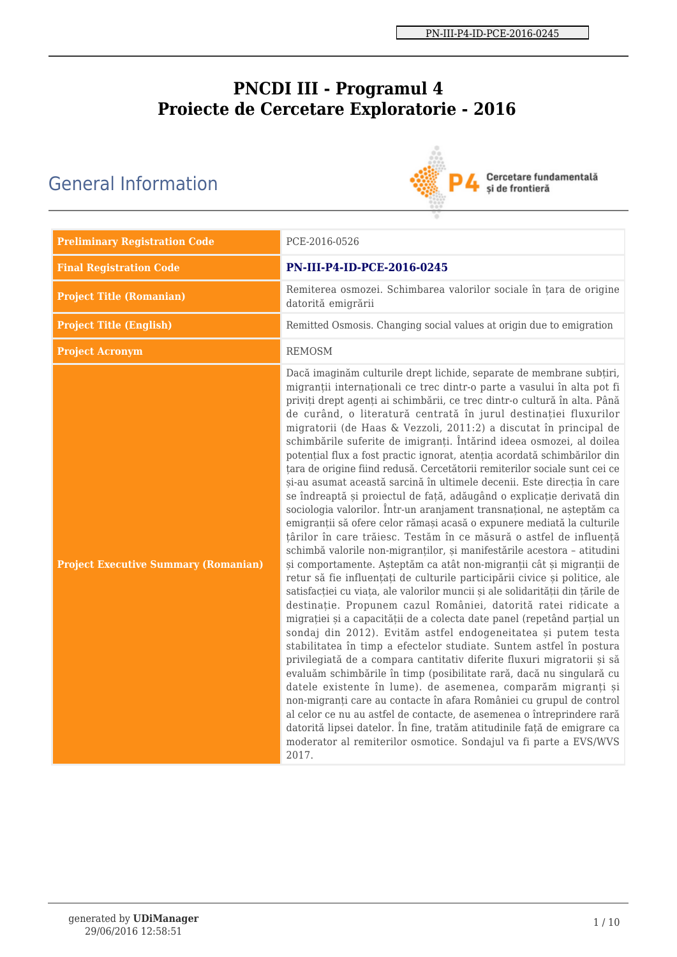# **PNCDI III - Programul 4 Proiecte de Cercetare Exploratorie - 2016**

# General Information



Cercetare fundamentală<br>și de frontieră

| <b>Preliminary Registration Code</b>        | PCE-2016-0526                                                                                                                                                                                                                                                                                                                                                                                                                                                                                                                                                                                                                                                                                                                                                                                                                                                                                                                                                                                                                                                                                                                                                                                                                                                                                                                                                                                                                                                                                                                                                                                                                                                                                                                                                                                                                                                                                                                                                                                                                                                                                                               |
|---------------------------------------------|-----------------------------------------------------------------------------------------------------------------------------------------------------------------------------------------------------------------------------------------------------------------------------------------------------------------------------------------------------------------------------------------------------------------------------------------------------------------------------------------------------------------------------------------------------------------------------------------------------------------------------------------------------------------------------------------------------------------------------------------------------------------------------------------------------------------------------------------------------------------------------------------------------------------------------------------------------------------------------------------------------------------------------------------------------------------------------------------------------------------------------------------------------------------------------------------------------------------------------------------------------------------------------------------------------------------------------------------------------------------------------------------------------------------------------------------------------------------------------------------------------------------------------------------------------------------------------------------------------------------------------------------------------------------------------------------------------------------------------------------------------------------------------------------------------------------------------------------------------------------------------------------------------------------------------------------------------------------------------------------------------------------------------------------------------------------------------------------------------------------------------|
| <b>Final Registration Code</b>              | PN-III-P4-ID-PCE-2016-0245                                                                                                                                                                                                                                                                                                                                                                                                                                                                                                                                                                                                                                                                                                                                                                                                                                                                                                                                                                                                                                                                                                                                                                                                                                                                                                                                                                                                                                                                                                                                                                                                                                                                                                                                                                                                                                                                                                                                                                                                                                                                                                  |
| <b>Project Title (Romanian)</b>             | Remiterea osmozei. Schimbarea valorilor sociale în țara de origine<br>datorită emigrării                                                                                                                                                                                                                                                                                                                                                                                                                                                                                                                                                                                                                                                                                                                                                                                                                                                                                                                                                                                                                                                                                                                                                                                                                                                                                                                                                                                                                                                                                                                                                                                                                                                                                                                                                                                                                                                                                                                                                                                                                                    |
| <b>Project Title (English)</b>              | Remitted Osmosis. Changing social values at origin due to emigration                                                                                                                                                                                                                                                                                                                                                                                                                                                                                                                                                                                                                                                                                                                                                                                                                                                                                                                                                                                                                                                                                                                                                                                                                                                                                                                                                                                                                                                                                                                                                                                                                                                                                                                                                                                                                                                                                                                                                                                                                                                        |
| <b>Project Acronym</b>                      | <b>REMOSM</b>                                                                                                                                                                                                                                                                                                                                                                                                                                                                                                                                                                                                                                                                                                                                                                                                                                                                                                                                                                                                                                                                                                                                                                                                                                                                                                                                                                                                                                                                                                                                                                                                                                                                                                                                                                                                                                                                                                                                                                                                                                                                                                               |
| <b>Project Executive Summary (Romanian)</b> | Dacă imaginăm culturile drept lichide, separate de membrane subțiri,<br>migranții internaționali ce trec dintr-o parte a vasului în alta pot fi<br>priviți drept agenți ai schimbării, ce trec dintr-o cultură în alta. Până<br>de curând, o literatură centrată în jurul destinației fluxurilor<br>migratorii (de Haas & Vezzoli, 2011:2) a discutat în principal de<br>schimbările suferite de imigranți. Întărind ideea osmozei, al doilea<br>potențial flux a fost practic ignorat, atenția acordată schimbărilor din<br>țara de origine fiind redusă. Cercetătorii remiterilor sociale sunt cei ce<br>și-au asumat această sarcină în ultimele decenii. Este direcția în care<br>se îndreaptă și proiectul de față, adăugând o explicație derivată din<br>sociologia valorilor. Într-un aranjament transnațional, ne așteptăm ca<br>emigranții să ofere celor rămași acasă o expunere mediată la culturile<br>țârilor în care trăiesc. Testăm în ce măsură o astfel de influență<br>schimbă valorile non-migranților, și manifestările acestora - atitudini<br>și comportamente. Așteptăm ca atât non-migranții cât și migranții de<br>retur să fie influențați de culturile participării civice și politice, ale<br>satisfacției cu viața, ale valorilor muncii și ale solidarității din țările de<br>destinație. Propunem cazul României, datorită ratei ridicate a<br>migrației și a capacității de a colecta date panel (repetând parțial un<br>sondaj din 2012). Evităm astfel endogeneitatea și putem testa<br>stabilitatea în timp a efectelor studiate. Suntem astfel în postura<br>privilegiată de a compara cantitativ diferite fluxuri migratorii și să<br>evaluăm schimbările în timp (posibilitate rară, dacă nu singulară cu<br>datele existente în lume). de asemenea, comparăm migranți și<br>non-migranți care au contacte în afara României cu grupul de control<br>al celor ce nu au astfel de contacte, de asemenea o întreprindere rară<br>datorită lipsei datelor. În fine, tratăm atitudinile față de emigrare ca<br>moderator al remiterilor osmotice. Sondajul va fi parte a EVS/WVS<br>2017. |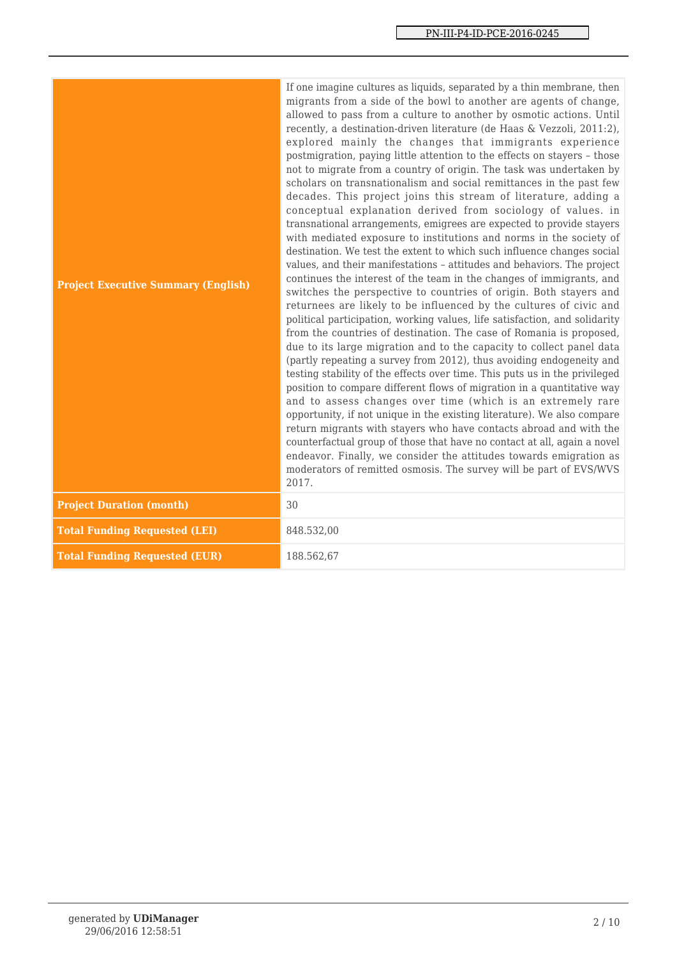| <b>Project Executive Summary (English)</b> | If one imagine cultures as liquids, separated by a thin membrane, then<br>migrants from a side of the bowl to another are agents of change,<br>allowed to pass from a culture to another by osmotic actions. Until<br>recently, a destination-driven literature (de Haas & Vezzoli, 2011:2),<br>explored mainly the changes that immigrants experience<br>postmigration, paying little attention to the effects on stayers - those<br>not to migrate from a country of origin. The task was undertaken by<br>scholars on transnationalism and social remittances in the past few<br>decades. This project joins this stream of literature, adding a<br>conceptual explanation derived from sociology of values. in<br>transnational arrangements, emigrees are expected to provide stayers<br>with mediated exposure to institutions and norms in the society of<br>destination. We test the extent to which such influence changes social<br>values, and their manifestations - attitudes and behaviors. The project<br>continues the interest of the team in the changes of immigrants, and<br>switches the perspective to countries of origin. Both stayers and<br>returnees are likely to be influenced by the cultures of civic and<br>political participation, working values, life satisfaction, and solidarity<br>from the countries of destination. The case of Romania is proposed,<br>due to its large migration and to the capacity to collect panel data<br>(partly repeating a survey from 2012), thus avoiding endogeneity and<br>testing stability of the effects over time. This puts us in the privileged<br>position to compare different flows of migration in a quantitative way<br>and to assess changes over time (which is an extremely rare<br>opportunity, if not unique in the existing literature). We also compare<br>return migrants with stayers who have contacts abroad and with the<br>counterfactual group of those that have no contact at all, again a novel<br>endeavor. Finally, we consider the attitudes towards emigration as<br>moderators of remitted osmosis. The survey will be part of EVS/WVS<br>2017. |
|--------------------------------------------|--------------------------------------------------------------------------------------------------------------------------------------------------------------------------------------------------------------------------------------------------------------------------------------------------------------------------------------------------------------------------------------------------------------------------------------------------------------------------------------------------------------------------------------------------------------------------------------------------------------------------------------------------------------------------------------------------------------------------------------------------------------------------------------------------------------------------------------------------------------------------------------------------------------------------------------------------------------------------------------------------------------------------------------------------------------------------------------------------------------------------------------------------------------------------------------------------------------------------------------------------------------------------------------------------------------------------------------------------------------------------------------------------------------------------------------------------------------------------------------------------------------------------------------------------------------------------------------------------------------------------------------------------------------------------------------------------------------------------------------------------------------------------------------------------------------------------------------------------------------------------------------------------------------------------------------------------------------------------------------------------------------------------------------------------------------------------------------------------------------------------------------------------------|
| <b>Project Duration (month)</b>            | 30                                                                                                                                                                                                                                                                                                                                                                                                                                                                                                                                                                                                                                                                                                                                                                                                                                                                                                                                                                                                                                                                                                                                                                                                                                                                                                                                                                                                                                                                                                                                                                                                                                                                                                                                                                                                                                                                                                                                                                                                                                                                                                                                                     |
| <b>Total Funding Requested (LEI)</b>       | 848.532,00                                                                                                                                                                                                                                                                                                                                                                                                                                                                                                                                                                                                                                                                                                                                                                                                                                                                                                                                                                                                                                                                                                                                                                                                                                                                                                                                                                                                                                                                                                                                                                                                                                                                                                                                                                                                                                                                                                                                                                                                                                                                                                                                             |
| <b>Total Funding Requested (EUR)</b>       | 188.562,67                                                                                                                                                                                                                                                                                                                                                                                                                                                                                                                                                                                                                                                                                                                                                                                                                                                                                                                                                                                                                                                                                                                                                                                                                                                                                                                                                                                                                                                                                                                                                                                                                                                                                                                                                                                                                                                                                                                                                                                                                                                                                                                                             |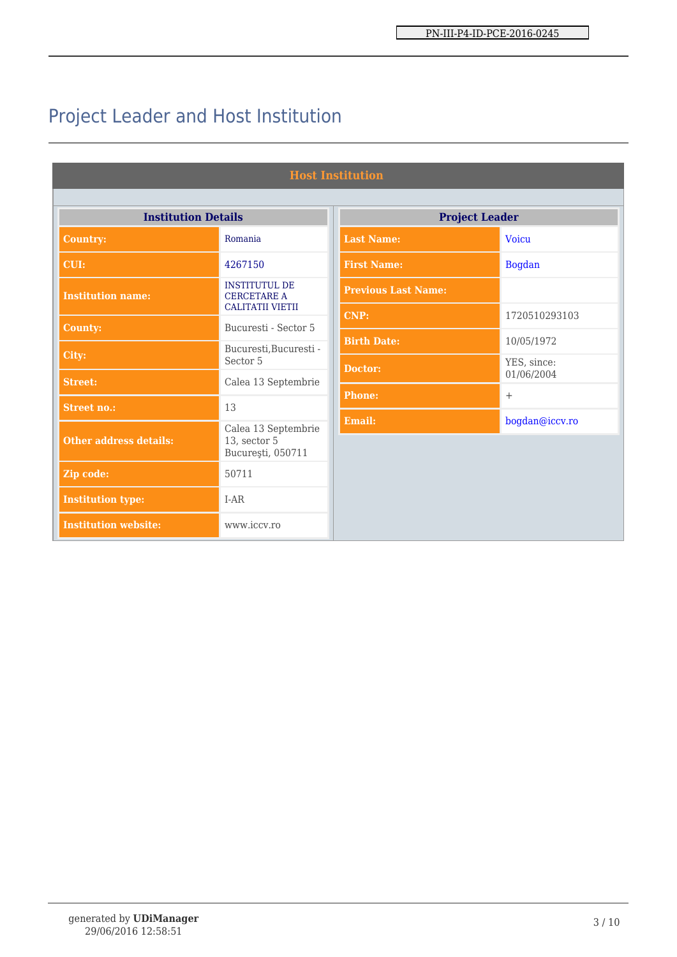# Project Leader and Host Institution

| <b>Host Institution</b>       |                                                                       |                            |                           |  |  |  |
|-------------------------------|-----------------------------------------------------------------------|----------------------------|---------------------------|--|--|--|
| <b>Institution Details</b>    |                                                                       | <b>Project Leader</b>      |                           |  |  |  |
| <b>Country:</b>               | Romania                                                               | <b>Last Name:</b>          | <b>Voicu</b>              |  |  |  |
| CUI:                          | 4267150                                                               | <b>First Name:</b>         | <b>Bogdan</b>             |  |  |  |
| <b>Institution name:</b>      | <b>INSTITUTUL DE</b><br><b>CERCETARE A</b><br><b>CALITATII VIETII</b> | <b>Previous Last Name:</b> |                           |  |  |  |
| <b>County:</b>                | Bucuresti - Sector 5                                                  | <b>CNP:</b>                | 1720510293103             |  |  |  |
|                               | Bucuresti, Bucuresti -                                                | <b>Birth Date:</b>         | 10/05/1972                |  |  |  |
| City:                         | Sector 5                                                              | Doctor:                    | YES, since:<br>01/06/2004 |  |  |  |
| <b>Street:</b>                | Calea 13 Septembrie                                                   | <b>Phone:</b>              | $^{+}$                    |  |  |  |
| <b>Street no.:</b>            | 13                                                                    |                            |                           |  |  |  |
| <b>Other address details:</b> | Calea 13 Septembrie<br>13, sector 5<br>București, 050711              | <b>Email:</b>              | bogdan@iccv.ro            |  |  |  |
| Zip code:                     | 50711                                                                 |                            |                           |  |  |  |
| <b>Institution type:</b>      | $I-AR$                                                                |                            |                           |  |  |  |
| <b>Institution website:</b>   | www.iccv.ro                                                           |                            |                           |  |  |  |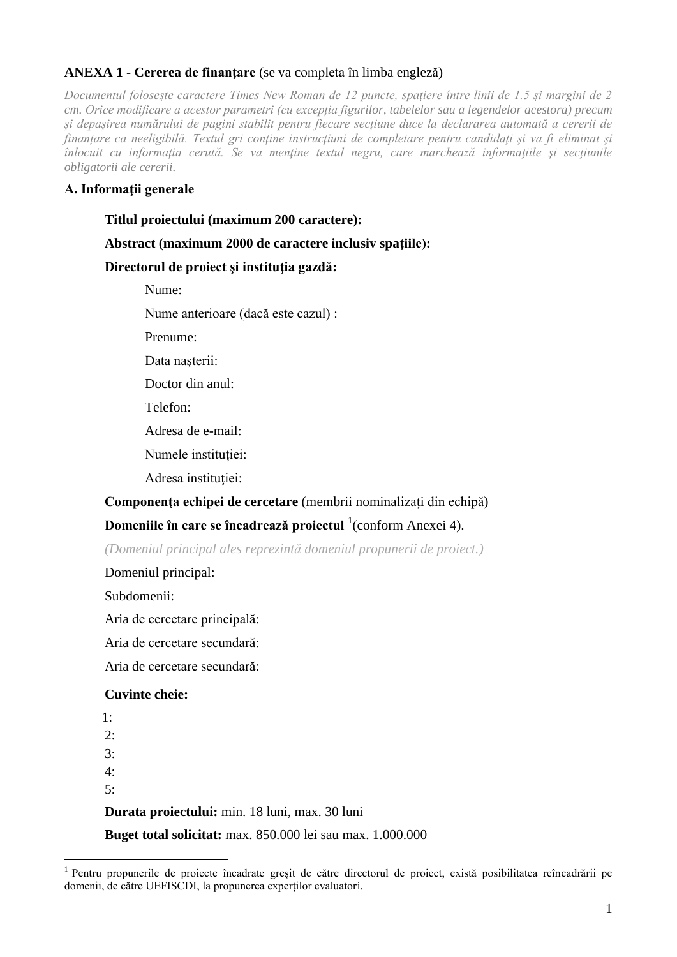# **ANEXA 1 - Cererea de finanţare** (se va completa în limba engleză)

*Documentul foloseşte caractere Times New Roman de 12 puncte, spaţiere între linii de 1.5 şi margini de 2 cm. Orice modificare a acestor parametri (cu excepția figurilor, tabelelor sau a legendelor acestora) precum și depașirea numărului de pagini stabilit pentru fiecare secțiune duce la declararea automată a cererii de finanțare ca neeligibilă. Textul gri conţine instrucţiuni de completare pentru candidaţi şi va fi eliminat şi înlocuit cu informația cerută. Se va menține textul negru, care marchează informațiile si secțiunile obligatorii ale cererii.*

## **A. Informaţii generale**

### **Titlul proiectului (maximum 200 caractere):**

## **Abstract (maximum 2000 de caractere inclusiv spaţiile):**

## **Directorul de proiect şi instituţia gazdă:**

Nume:

Nume anterioare (dacă este cazul) :

Prenume:

Data nașterii:

Doctor din anul:

Telefon:

Adresa de e-mail:

Numele institutiei:

Adresa instituției:

#### **Componenţa echipei de cercetare** (membrii nominalizați din echipă)

# **Domeniile în care se încadrează proiectul** <sup>1</sup> (conform Anexei 4).

*(Domeniul principal ales reprezintă domeniul propunerii de proiect.)*

Domeniul principal:

Subdomenii:

Aria de cercetare principală:

Aria de cercetare secundară:

Aria de cercetare secundară:

#### **Cuvinte cheie:**

1:  $2$ . 3: 4: 5: **Durata proiectului:** min. 18 luni, max. 30 luni **Buget total solicitat:** max. 850.000 lei sau max. 1.000.000

<sup>&</sup>lt;sup>1</sup> Pentru propunerile de proiecte încadrate greșit de către directorul de proiect, există posibilitatea reîncadrării pe domenii, de către UEFISCDI, la propunerea experților evaluatori.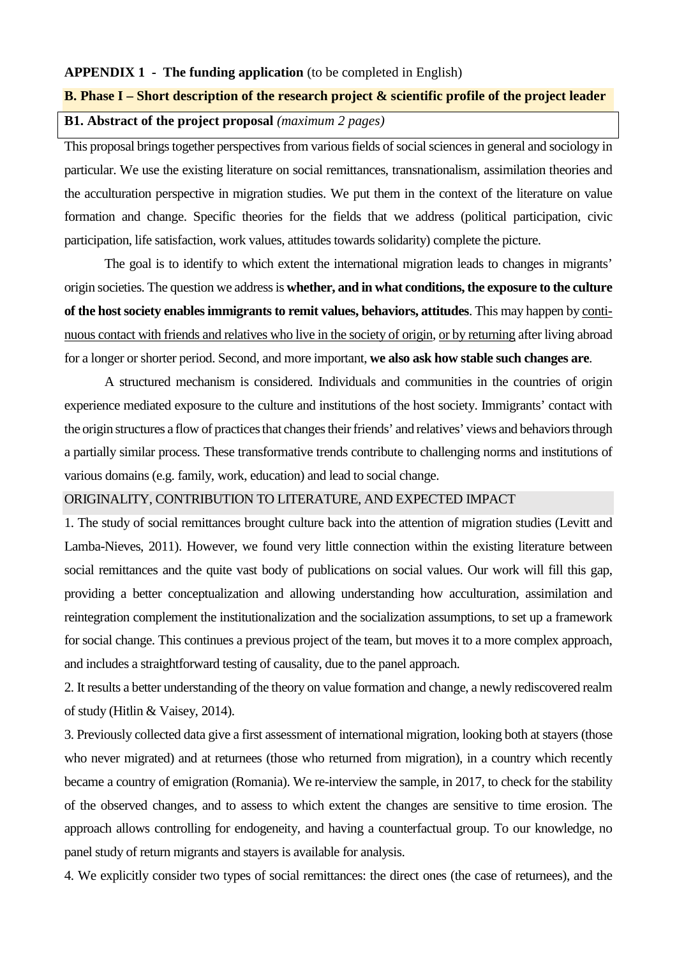#### **APPENDIX 1 - The funding application** (to be completed in English)

#### **B. Phase I – Short description of the research project & scientific profile of the project leader**

# **B1. Abstract of the project proposal** *(maximum 2 pages)*

This proposal brings together perspectives from various fields of social sciences in general and sociology in particular. We use the existing literature on social remittances, transnationalism, assimilation theories and the acculturation perspective in migration studies. We put them in the context of the literature on value formation and change. Specific theories for the fields that we address (political participation, civic participation, life satisfaction, work values, attitudes towards solidarity) complete the picture.

The goal is to identify to which extent the international migration leads to changes in migrants' origin societies. The question we address is **whether, and in what conditions, the exposure to the culture of the host society enables immigrants to remit values, behaviors, attitudes**. This may happen by continuous contact with friends and relatives who live in the society of origin, or by returning after living abroad for a longer or shorter period. Second, and more important, **we also ask how stable such changes are**.

A structured mechanism is considered. Individuals and communities in the countries of origin experience mediated exposure to the culture and institutions of the host society. Immigrants' contact with the origin structures a flow of practices that changes their friends' and relatives' views and behaviors through a partially similar process. These transformative trends contribute to challenging norms and institutions of various domains (e.g. family, work, education) and lead to social change.

#### ORIGINALITY, CONTRIBUTION TO LITERATURE, AND EXPECTED IMPACT

1. The study of social remittances brought culture back into the attention of migration studies (Levitt and Lamba-Nieves, 2011). However, we found very little connection within the existing literature between social remittances and the quite vast body of publications on social values. Our work will fill this gap, providing a better conceptualization and allowing understanding how acculturation, assimilation and reintegration complement the institutionalization and the socialization assumptions, to set up a framework for social change. This continues a previous project of the team, but moves it to a more complex approach, and includes a straightforward testing of causality, due to the panel approach.

2. It results a better understanding of the theory on value formation and change, a newly rediscovered realm of study (Hitlin & Vaisey, 2014).

3. Previously collected data give a first assessment of international migration, looking both at stayers (those who never migrated) and at returnees (those who returned from migration), in a country which recently became a country of emigration (Romania). We re-interview the sample, in 2017, to check for the stability of the observed changes, and to assess to which extent the changes are sensitive to time erosion. The approach allows controlling for endogeneity, and having a counterfactual group. To our knowledge, no panel study of return migrants and stayers is available for analysis.

4. We explicitly consider two types of social remittances: the direct ones (the case of returnees), and the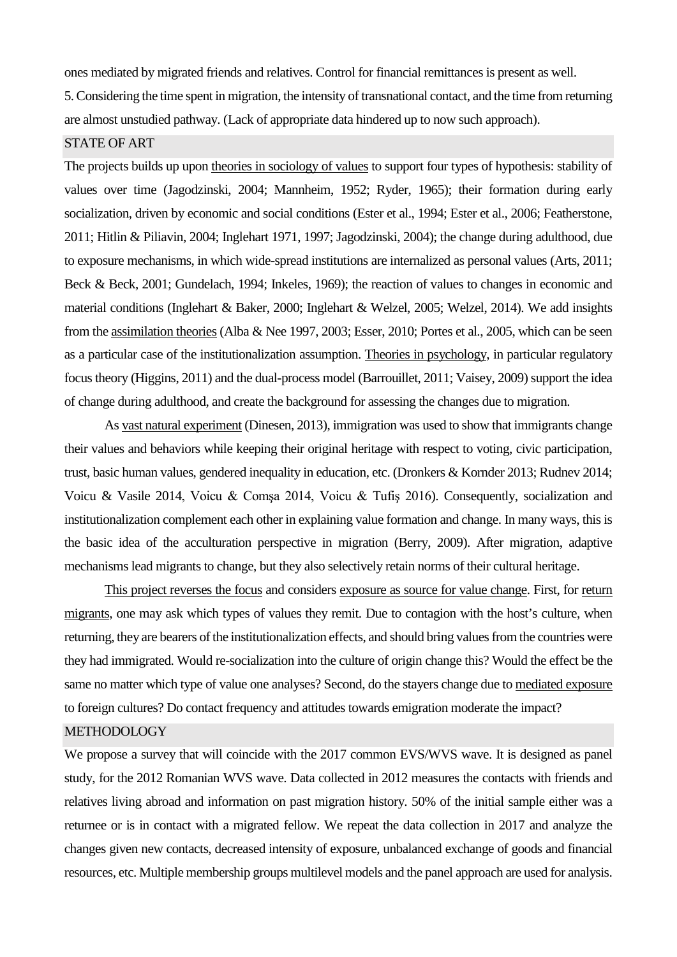ones mediated by migrated friends and relatives. Control for financial remittancesis present as well.

5. Considering the time spent in migration, the intensity of transnational contact, and the time from returning are almost unstudied pathway. (Lack of appropriate data hindered up to now such approach).

# STATE OF ART

The projects builds up upon theories in sociology of values to support four types of hypothesis: stability of values over time (Jagodzinski, 2004; Mannheim, 1952; Ryder, 1965); their formation during early socialization, driven by economic and social conditions (Ester et al., 1994; Ester et al., 2006; Featherstone, 2011; Hitlin & Piliavin, 2004; Inglehart 1971, 1997; Jagodzinski, 2004); the change during adulthood, due to exposure mechanisms, in which wide-spread institutions are internalized as personal values (Arts, 2011; Beck & Beck, 2001; Gundelach, 1994; Inkeles, 1969); the reaction of values to changes in economic and material conditions (Inglehart & Baker, 2000; Inglehart & Welzel, 2005; Welzel, 2014). We add insights from the assimilation theories (Alba & Nee 1997, 2003; Esser, 2010; Portes et al., 2005, which can be seen as a particular case of the institutionalization assumption. Theories in psychology, in particular regulatory focus theory (Higgins, 2011) and the dual-process model (Barrouillet, 2011; Vaisey, 2009) support the idea of change during adulthood, and create the background for assessing the changes due to migration.

As vast natural experiment (Dinesen, 2013), immigration was used to show that immigrants change their values and behaviors while keeping their original heritage with respect to voting, civic participation, trust, basic human values, gendered inequality in education, etc. (Dronkers & Kornder 2013; Rudnev 2014; Voicu & Vasile 2014, Voicu & Comşa 2014, Voicu & Tufiş 2016). Consequently, socialization and institutionalization complement each other in explaining value formation and change. In many ways, this is the basic idea of the acculturation perspective in migration (Berry, 2009). After migration, adaptive mechanisms lead migrants to change, but they also selectively retain norms of their cultural heritage.

This project reverses the focus and considers exposure as source for value change. First, for return migrants, one may ask which types of values they remit. Due to contagion with the host's culture, when returning, they are bearers of the institutionalization effects, and should bring values from the countries were they had immigrated. Would re-socialization into the culture of origin change this? Would the effect be the same no matter which type of value one analyses? Second, do the stayers change due to mediated exposure to foreign cultures? Do contact frequency and attitudes towards emigration moderate the impact?

#### METHODOLOGY

We propose a survey that will coincide with the 2017 common EVS/WVS wave. It is designed as panel study, for the 2012 Romanian WVS wave. Data collected in 2012 measures the contacts with friends and relatives living abroad and information on past migration history. 50% of the initial sample either was a returnee or is in contact with a migrated fellow. We repeat the data collection in 2017 and analyze the changes given new contacts, decreased intensity of exposure, unbalanced exchange of goods and financial resources, etc. Multiple membership groups multilevel models and the panel approach are used for analysis.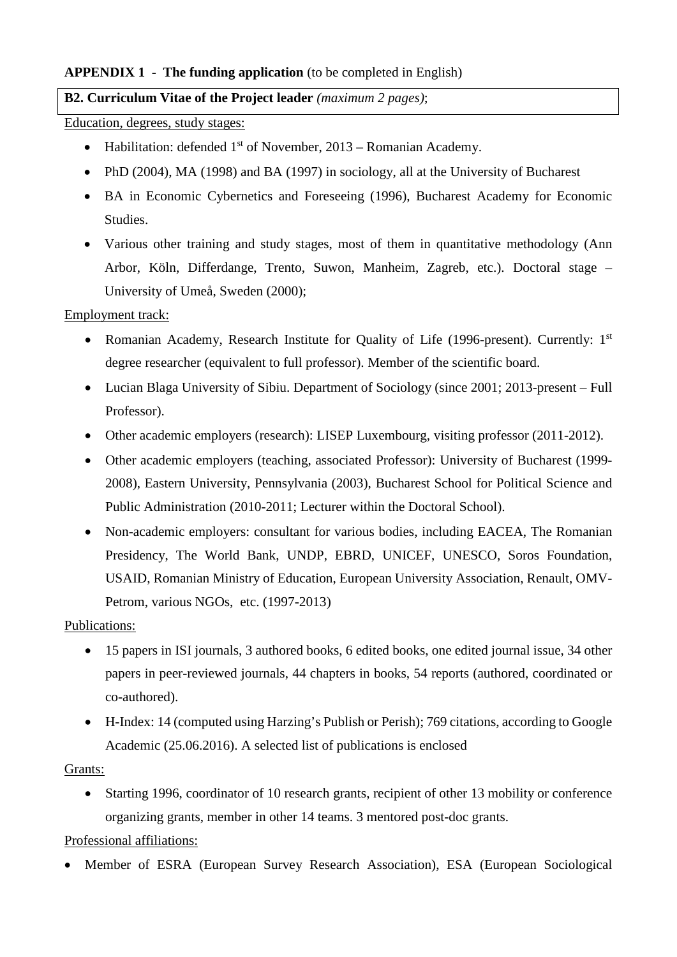# **APPENDIX 1 - The funding application** (to be completed in English)

# **B2. Curriculum Vitae of the Project leader** *(maximum 2 pages)*;

Education, degrees, study stages:

- Habilitation: defended  $1<sup>st</sup>$  of November, 2013 Romanian Academy.
- PhD (2004), MA (1998) and BA (1997) in sociology, all at the University of Bucharest
- BA in Economic Cybernetics and Foreseeing (1996), Bucharest Academy for Economic Studies.
- Various other training and study stages, most of them in quantitative methodology (Ann Arbor, Köln, Differdange, Trento, Suwon, Manheim, Zagreb, etc.). Doctoral stage – University of Umeå, Sweden (2000);

Employment track:

- Romanian Academy, Research Institute for Quality of Life (1996-present). Currently: 1<sup>st</sup> degree researcher (equivalent to full professor). Member of the scientific board.
- Lucian Blaga University of Sibiu. Department of Sociology (since 2001; 2013-present Full Professor).
- Other academic employers (research): LISEP Luxembourg, visiting professor (2011-2012).
- Other academic employers (teaching, associated Professor): University of Bucharest (1999- 2008), Eastern University, Pennsylvania (2003), Bucharest School for Political Science and Public Administration (2010-2011; Lecturer within the Doctoral School).
- Non-academic employers: consultant for various bodies, including EACEA, The Romanian Presidency, The World Bank, UNDP, EBRD, UNICEF, UNESCO, Soros Foundation, USAID, Romanian Ministry of Education, European University Association, Renault, OMV-Petrom, various NGOs, etc. (1997-2013)

# Publications:

- 15 papers in ISI journals, 3 authored books, 6 edited books, one edited journal issue, 34 other papers in peer-reviewed journals, 44 chapters in books, 54 reports (authored, coordinated or co-authored).
- H-Index: 14 (computed using Harzing's Publish or Perish); 769 citations, according to Google Academic (25.06.2016). A selected list of publications is enclosed

# Grants:

• Starting 1996, coordinator of 10 research grants, recipient of other 13 mobility or conference organizing grants, member in other 14 teams. 3 mentored post-doc grants.

Professional affiliations:

• Member of ESRA (European Survey Research Association), ESA (European Sociological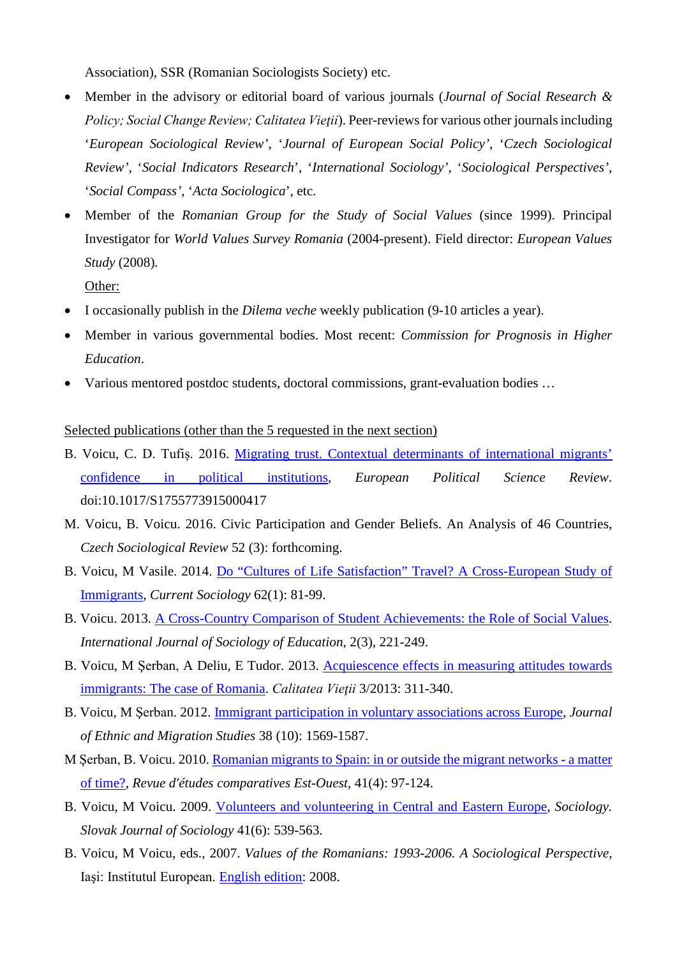Association), SSR (Romanian Sociologists Society) etc.

- Member in the advisory or editorial board of various journals (*Journal of Social Research & Policy; Social Change Review; Calitatea Vieţii*). Peer-reviews for various other journals including '*European Sociological Review'*, '*Journal of European Social Policy'*, '*Czech Sociological Review'*, '*Social Indicators Research*', '*International Sociology'*, '*Sociological Perspectives'*, '*Social Compass'*, '*Acta Sociologica*', etc.
- Member of the *Romanian Group for the Study of Social Values* (since 1999). Principal Investigator for *World Values Survey Romania* (2004-present). Field director: *European Values Study* (2008)*.*

Other:

- I occasionally publish in the *Dilema veche* weekly publication (9-10 articles a year).
- Member in various governmental bodies. Most recent: *Commission for Prognosis in Higher Education*.
- Various mentored postdoc students, doctoral commissions, grant-evaluation bodies …

#### Selected publications (other than the 5 requested in the next section)

- B. Voicu, C. D. Tufiș. 2016. [Migrating trust. Contextual determinants of international migrants'](http://journals.cambridge.org/action/displayAbstract?fromPage=online&aid=10062663&fileId=S1755773915000417)  [confidence in political institutions,](http://journals.cambridge.org/action/displayAbstract?fromPage=online&aid=10062663&fileId=S1755773915000417) *European Political Science Review*. doi:10.1017/S1755773915000417
- M. Voicu, B. Voicu. 2016. Civic Participation and Gender Beliefs. An Analysis of 46 Countries, *Czech Sociological Review* 52 (3): forthcoming.
- B. Voicu, M Vasile. 2014. [Do "Cultures of Life Satisfaction" Travel? A Cross-European Study of](http://csi.sagepub.com/content/62/1/81.abstract?etoc)  [Immigrants,](http://csi.sagepub.com/content/62/1/81.abstract?etoc) *Current Sociology* 62(1): 81-99.
- B. Voicu. 2013. [A Cross-Country Comparison of Student Achievements: the Role of Social Values.](http://www.hipatiapress.com/hpjournals/index.php/rise/article/view/638/726) *International Journal of Sociology of Education*, 2(3), 221-249.
- B. Voicu, M Şerban, A Deliu, E Tudor. 2013. [Acquiescence effects in measuring attitudes towards](http://www.revistacalitateavietii.ro/2013/CV-3-2013/04.pdf)  [immigrants: The case of Romania.](http://www.revistacalitateavietii.ro/2013/CV-3-2013/04.pdf) *Calitatea Vieţii* 3/2013: 311-340.
- B. Voicu, M Şerban. 2012. [Immigrant participation in voluntary associations across Europe,](http://www.tandfonline.com/doi/abs/10.1080/1369183X.2012.711046) *Journal of Ethnic and Migration Studies* 38 (10): 1569-1587.
- M Şerban, B. Voicu. 2010. [Romanian migrants to Spain: in or outside the migrant networks -](http://www.necplus.eu/action/displayAbstract?fromPage=online&aid=2432688&fulltextType=RV&fileId=S0338059910004055) a matter [of time?,](http://www.necplus.eu/action/displayAbstract?fromPage=online&aid=2432688&fulltextType=RV&fileId=S0338059910004055) *Revue d'études comparatives Est-Ouest*, 41(4): 97-124.
- B. Voicu, M Voicu. 2009. [Volunteers and volunteering in Central and Eastern Europe,](http://www.ceeol.com/aspx/issuedetails.aspx?issueid=b06e32cb-6e9b-408a-afed-ef63de5f01ff&articleId=3c92fe74-a2cd-481d-929f-8237d68bb7f4) *Sociology. Slovak Journal of Sociology* 41(6): 539-563.
- B. Voicu, M Voicu, eds., 2007. *Values of the Romanians: 1993-2006. A Sociological Perspective*, Iaşi: Institutul European. [English edition:](http://www.euroinst.ro/titlu.php?id=874) 2008.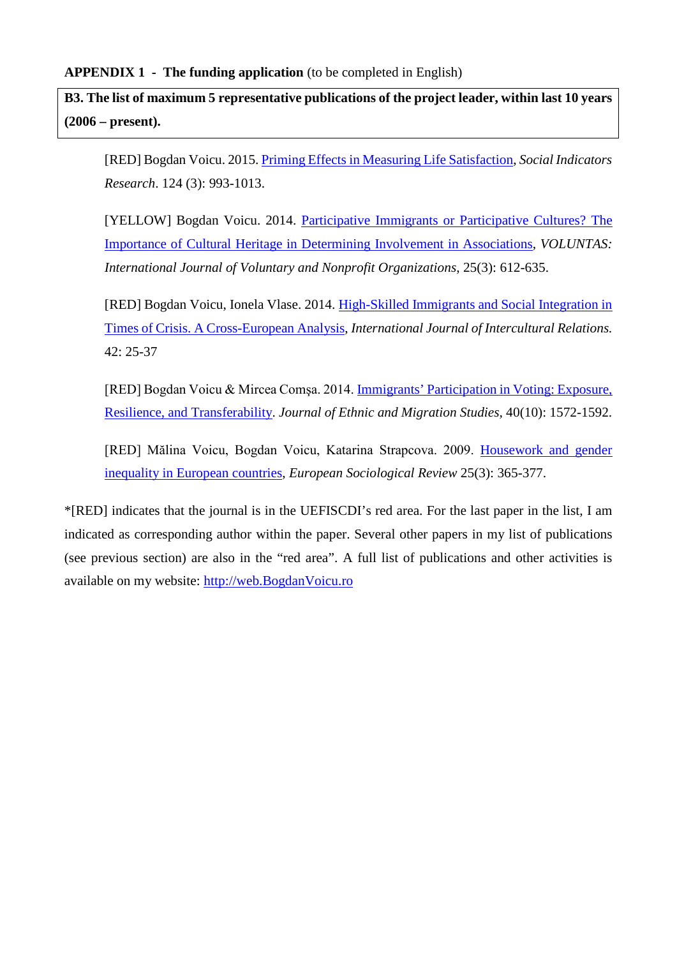**B3. The list of maximum 5 representative publications of the project leader, within last 10 years (2006 – present).** 

[RED] Bogdan Voicu. 2015. [Priming Effects in Measuring Life Satisfaction,](http://link.springer.com/article/10.1007/s11205-014-0818-0) *Social Indicators Research*. 124 (3): 993-1013.

[YELLOW] Bogdan Voicu. 2014. [Participative Immigrants or Participative Cultures? The](http://link.springer.com/article/10.1007/s11266-013-9355-8)  [Importance of Cultural Heritage in Determining Involvement in Associations,](http://link.springer.com/article/10.1007/s11266-013-9355-8) *VOLUNTAS: International Journal of Voluntary and Nonprofit Organizations*, 25(3): 612-635.

[RED] Bogdan Voicu, Ionela Vlase. 2014. [High-Skilled Immigrants and Social Integration in](http://www.sciencedirect.com/science/article/pii/S0147176714000650)  [Times of Crisis. A Cross-European Analysis,](http://www.sciencedirect.com/science/article/pii/S0147176714000650) *International Journal of Intercultural Relations.* 42: 25-37

[RED] Bogdan Voicu & Mircea Comşa. 2014. [Immigrants' Participation in Voting: Exposure,](http://www.tandfonline.com/doi/full/10.1080/1369183X.2013.873712)  [Resilience, and Transferability.](http://www.tandfonline.com/doi/full/10.1080/1369183X.2013.873712) *Journal of Ethnic and Migration Studies,* 40(10): 1572-1592.

[RED] Mălina Voicu, Bogdan Voicu, Katarina Strapcova. 2009. [Housework and gender](http://esr.oxfordjournals.org/cgi/content/abstract/jcn054)  [inequality in European countries,](http://esr.oxfordjournals.org/cgi/content/abstract/jcn054) *European Sociological Review* 25(3): 365-377.

\*[RED] indicates that the journal is in the UEFISCDI's red area. For the last paper in the list, I am indicated as corresponding author within the paper. Several other papers in my list of publications (see previous section) are also in the "red area". A full list of publications and other activities is available on my website: [http://web.BogdanVoicu.ro](http://web.bogdanvoicu.ro/)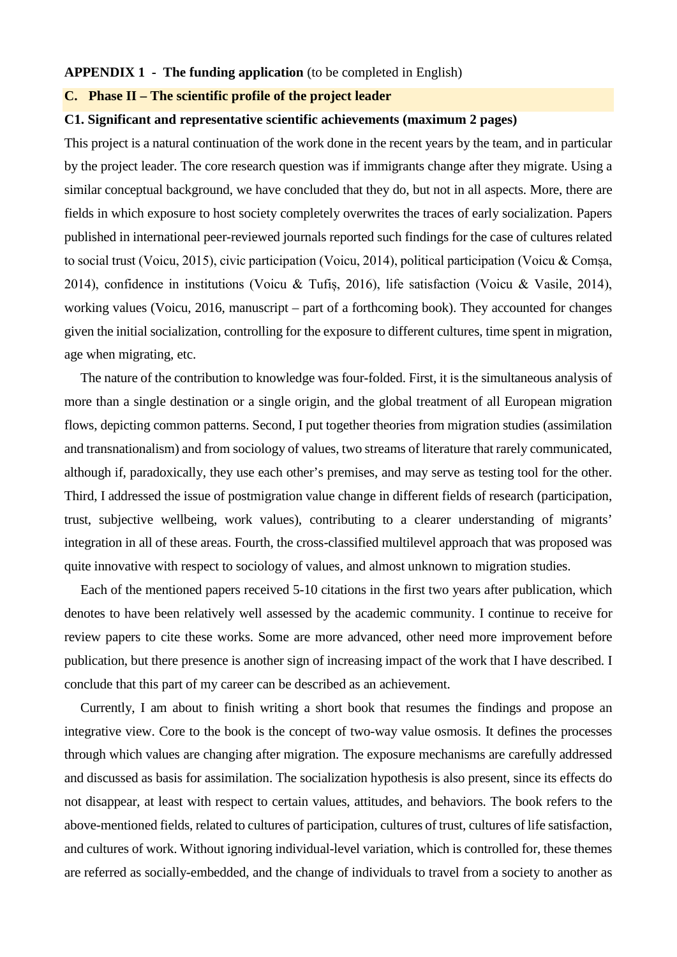#### **APPENDIX 1 - The funding application** (to be completed in English)

#### **C. Phase II – The scientific profile of the project leader**

#### **C1. Significant and representative scientific achievements (maximum 2 pages)**

This project is a natural continuation of the work done in the recent years by the team, and in particular by the project leader. The core research question was if immigrants change after they migrate. Using a similar conceptual background, we have concluded that they do, but not in all aspects. More, there are fields in which exposure to host society completely overwrites the traces of early socialization. Papers published in international peer-reviewed journals reported such findings for the case of cultures related to social trust (Voicu, 2015), civic participation (Voicu, 2014), political participation (Voicu & Comșa, 2014), confidence in institutions (Voicu & Tufiș, 2016), life satisfaction (Voicu & Vasile, 2014), working values (Voicu, 2016, manuscript – part of a forthcoming book). They accounted for changes given the initial socialization, controlling for the exposure to different cultures, time spent in migration, age when migrating, etc.

The nature of the contribution to knowledge was four-folded. First, it is the simultaneous analysis of more than a single destination or a single origin, and the global treatment of all European migration flows, depicting common patterns. Second, I put together theories from migration studies (assimilation and transnationalism) and from sociology of values, two streams of literature that rarely communicated, although if, paradoxically, they use each other's premises, and may serve as testing tool for the other. Third, I addressed the issue of postmigration value change in different fields of research (participation, trust, subjective wellbeing, work values), contributing to a clearer understanding of migrants' integration in all of these areas. Fourth, the cross-classified multilevel approach that was proposed was quite innovative with respect to sociology of values, and almost unknown to migration studies.

Each of the mentioned papers received 5-10 citations in the first two years after publication, which denotes to have been relatively well assessed by the academic community. I continue to receive for review papers to cite these works. Some are more advanced, other need more improvement before publication, but there presence is another sign of increasing impact of the work that I have described. I conclude that this part of my career can be described as an achievement.

Currently, I am about to finish writing a short book that resumes the findings and propose an integrative view. Core to the book is the concept of two-way value osmosis. It defines the processes through which values are changing after migration. The exposure mechanisms are carefully addressed and discussed as basis for assimilation. The socialization hypothesis is also present, since its effects do not disappear, at least with respect to certain values, attitudes, and behaviors. The book refers to the above-mentioned fields, related to cultures of participation, cultures of trust, cultures of life satisfaction, and cultures of work. Without ignoring individual-level variation, which is controlled for, these themes are referred as socially-embedded, and the change of individuals to travel from a society to another as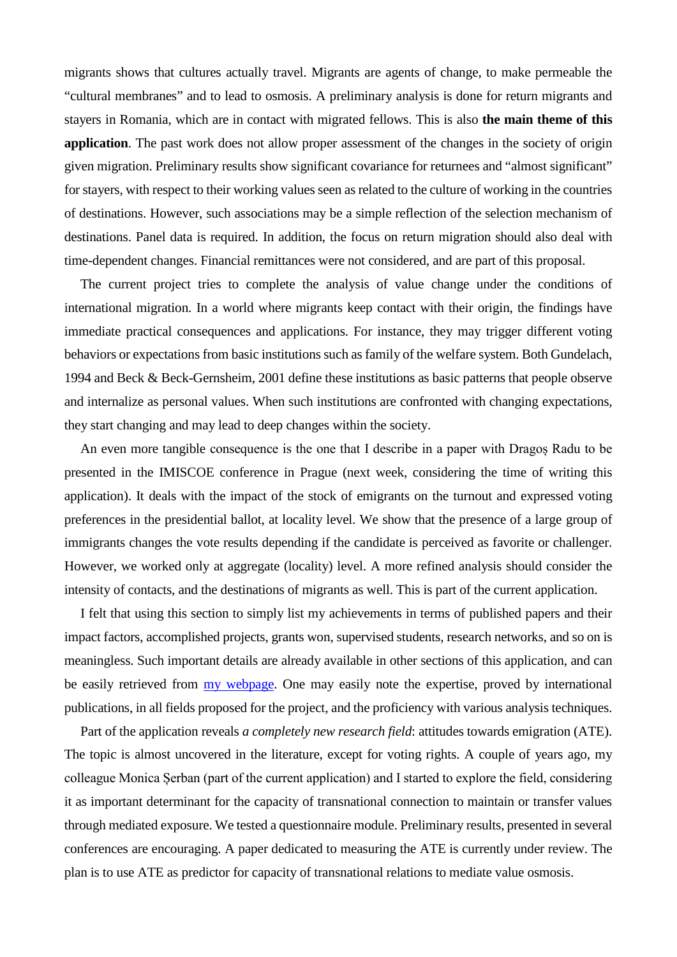migrants shows that cultures actually travel. Migrants are agents of change, to make permeable the "cultural membranes" and to lead to osmosis. A preliminary analysis is done for return migrants and stayers in Romania, which are in contact with migrated fellows. This is also **the main theme of this application**. The past work does not allow proper assessment of the changes in the society of origin given migration. Preliminary results show significant covariance for returnees and "almost significant" for stayers, with respect to their working values seen as related to the culture of working in the countries of destinations. However, such associations may be a simple reflection of the selection mechanism of destinations. Panel data is required. In addition, the focus on return migration should also deal with time-dependent changes. Financial remittances were not considered, and are part of this proposal.

The current project tries to complete the analysis of value change under the conditions of international migration. In a world where migrants keep contact with their origin, the findings have immediate practical consequences and applications. For instance, they may trigger different voting behaviors or expectations from basic institutions such as family of the welfare system. Both Gundelach, 1994 and Beck & Beck-Gernsheim, 2001 define these institutions as basic patterns that people observe and internalize as personal values. When such institutions are confronted with changing expectations, they start changing and may lead to deep changes within the society.

An even more tangible consequence is the one that I describe in a paper with Dragoș Radu to be presented in the IMISCOE conference in Prague (next week, considering the time of writing this application). It deals with the impact of the stock of emigrants on the turnout and expressed voting preferences in the presidential ballot, at locality level. We show that the presence of a large group of immigrants changes the vote results depending if the candidate is perceived as favorite or challenger. However, we worked only at aggregate (locality) level. A more refined analysis should consider the intensity of contacts, and the destinations of migrants as well. This is part of the current application.

I felt that using this section to simply list my achievements in terms of published papers and their impact factors, accomplished projects, grants won, supervised students, research networks, and so on is meaningless. Such important details are already available in other sections of this application, and can be easily retrieved from [my webpage.](http://web.bogdanvoicu.ro/) One may easily note the expertise, proved by international publications, in all fields proposed for the project, and the proficiency with various analysis techniques.

Part of the application reveals *a completely new research field*: attitudes towards emigration (ATE). The topic is almost uncovered in the literature, except for voting rights. A couple of years ago, my colleague Monica Șerban (part of the current application) and I started to explore the field, considering it as important determinant for the capacity of transnational connection to maintain or transfer values through mediated exposure. We tested a questionnaire module. Preliminary results, presented in several conferences are encouraging. A paper dedicated to measuring the ATE is currently under review. The plan is to use ATE as predictor for capacity of transnational relations to mediate value osmosis.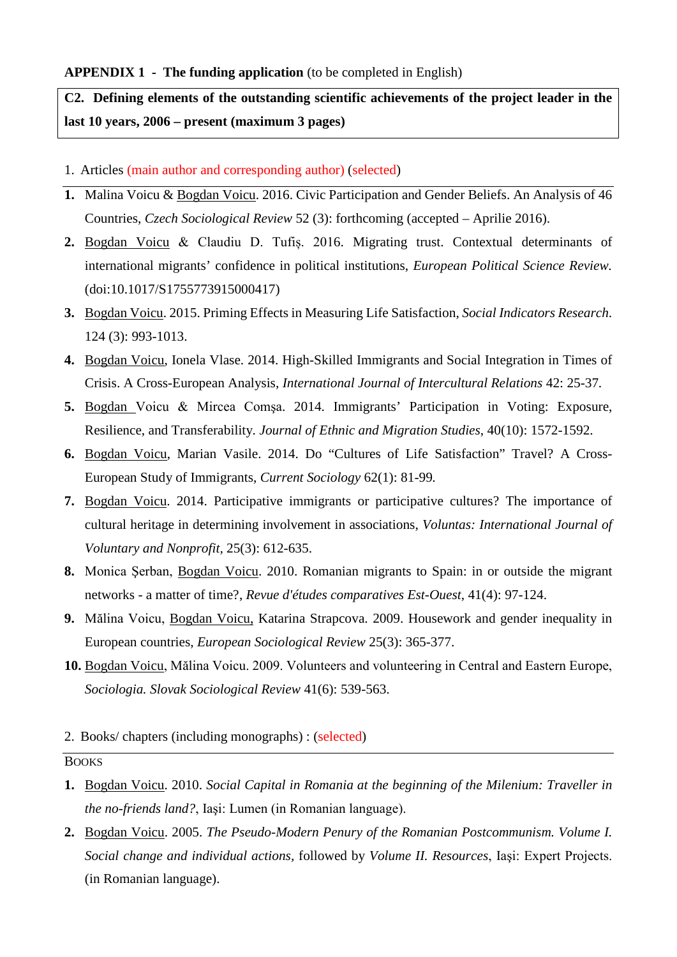**C2. Defining elements of the outstanding scientific achievements of the project leader in the last 10 years, 2006 – present (maximum 3 pages)**

- 1. Articles (main author and corresponding author) (selected)
- **1.** Malina Voicu & Bogdan Voicu. 2016. Civic Participation and Gender Beliefs. An Analysis of 46 Countries, *Czech Sociological Review* 52 (3): forthcoming (accepted – Aprilie 2016).
- **2.** Bogdan Voicu & Claudiu D. Tufiș. 2016. Migrating trust. Contextual determinants of international migrants' confidence in political institutions, *European Political Science Review.* (doi:10.1017/S1755773915000417)
- **3.** Bogdan Voicu. 2015. Priming Effects in Measuring Life Satisfaction, *Social Indicators Research*. 124 (3): 993-1013.
- **4.** Bogdan Voicu, Ionela Vlase. 2014. High-Skilled Immigrants and Social Integration in Times of Crisis. A Cross-European Analysis, *International Journal of Intercultural Relations* 42: 25-37*.*
- **5.** Bogdan Voicu & Mircea Comşa. 2014. Immigrants' Participation in Voting: Exposure, Resilience, and Transferability. *Journal of Ethnic and Migration Studies*, 40(10): 1572-1592.
- **6.** Bogdan Voicu, Marian Vasile. 2014. Do "Cultures of Life Satisfaction" Travel? A Cross-European Study of Immigrants, *Current Sociology* 62(1): 81-99*.*
- **7.** Bogdan Voicu. 2014. Participative immigrants or participative cultures? The importance of cultural heritage in determining involvement in associations, *Voluntas: International Journal of Voluntary and Nonprofit,* 25(3): 612-635.
- **8.** Monica Şerban, Bogdan Voicu. 2010. Romanian migrants to Spain: in or outside the migrant networks - a matter of time?, *Revue d'études comparatives Est-Ouest*, 41(4): 97-124.
- **9.** Mălina Voicu, Bogdan Voicu, Katarina Strapcova. 2009. Housework and gender inequality in European countries, *European Sociological Review* 25(3): 365-377.
- **10.** Bogdan Voicu, Mălina Voicu. 2009. Volunteers and volunteering in Central and Eastern Europe, *Sociologia. Slovak Sociological Review* 41(6): 539-563.
- 2. Books/ chapters (including monographs) : (selected)

#### BOOKS

- **1.** Bogdan Voicu. 2010. *Social Capital in Romania at the beginning of the Milenium: Traveller in the no-friends land?*, Iaşi: Lumen (in Romanian language).
- **2.** Bogdan Voicu. 2005. *The Pseudo-Modern Penury of the Romanian Postcommunism. Volume I. Social change and individual actions,* followed by *Volume II. Resources*, Iaşi: Expert Projects. (in Romanian language).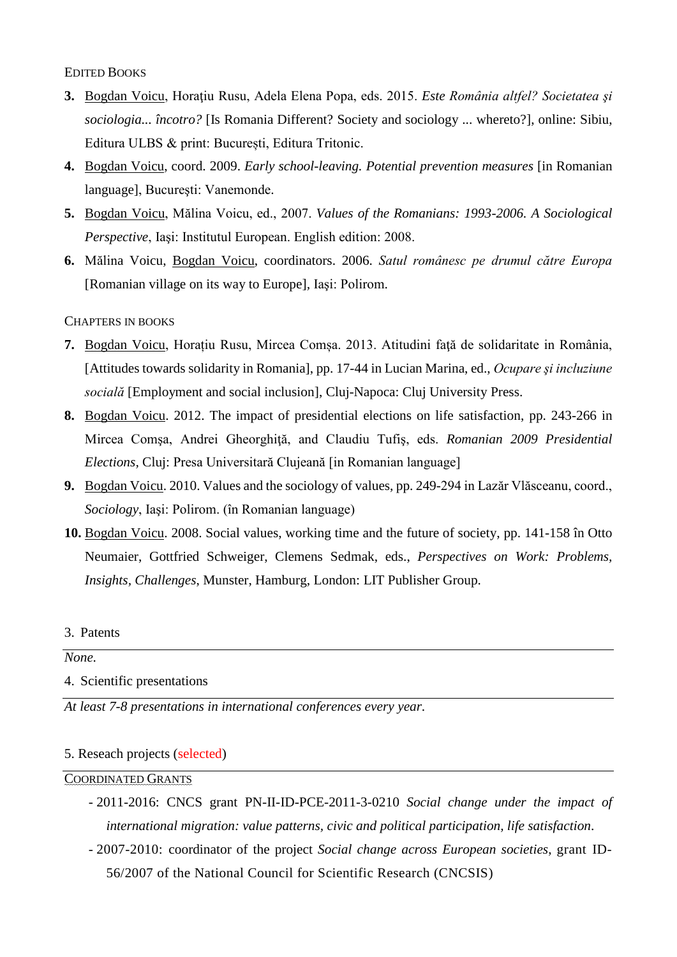### EDITED BOOKS

- **3.** Bogdan Voicu, Horaţiu Rusu, Adela Elena Popa, eds. 2015. *Este România altfel? Societatea şi sociologia... încotro?* [Is Romania Different? Society and sociology ... whereto?], online: Sibiu, Editura ULBS & print: București, Editura Tritonic.
- **4.** Bogdan Voicu, coord. 2009. *Early school-leaving. Potential prevention measures* [in Romanian language], Bucureşti: Vanemonde.
- **5.** Bogdan Voicu, Mălina Voicu, ed., 2007. *Values of the Romanians: 1993-2006. A Sociological Perspective*, Iaşi: Institutul European. English edition: 2008.
- **6.** Mălina Voicu, Bogdan Voicu, coordinators. 2006. *Satul românesc pe drumul către Europa* [Romanian village on its way to Europe]*,* Iaşi: Polirom.

### CHAPTERS IN BOOKS

- **7.** Bogdan Voicu, Horațiu Rusu, Mircea Comșa. 2013. Atitudini faţă de solidaritate in România, [Attitudes towards solidarity in Romania], pp. 17-44 in Lucian Marina, ed., *Ocupare şi incluziune socială* [Employment and social inclusion], Cluj-Napoca: Cluj University Press.
- **8.** Bogdan Voicu. 2012. The impact of presidential elections on life satisfaction, pp. 243-266 in Mircea Comşa, Andrei Gheorghiţă, and Claudiu Tufiş, eds. *Romanian 2009 Presidential Elections,* Cluj: Presa Universitară Clujeană [in Romanian language]
- **9.** Bogdan Voicu. 2010. Values and the sociology of values, pp. 249-294 in Lazăr Vlăsceanu, coord., *Sociology*, Iaşi: Polirom. (în Romanian language)
- **10.** Bogdan Voicu. 2008. Social values, working time and the future of society, pp. 141-158 în Otto Neumaier, Gottfried Schweiger, Clemens Sedmak, eds., *Perspectives on Work: Problems, Insights, Challenges*, Munster, Hamburg, London: LIT Publisher Group.

### 3. Patents

# *None.*

4. Scientific presentations

*At least 7-8 presentations in international conferences every year.* 

# 5. Reseach projects (selected)

# COORDINATED GRANTS

- 2011-2016: CNCS grant PN-II-ID-PCE-2011-3-0210 *Social change under the impact of international migration: value patterns, civic and political participation, life satisfaction*.
- 2007-2010: coordinator of the project *Social change across European societies*, grant ID-56/2007 of the National Council for Scientific Research (CNCSIS)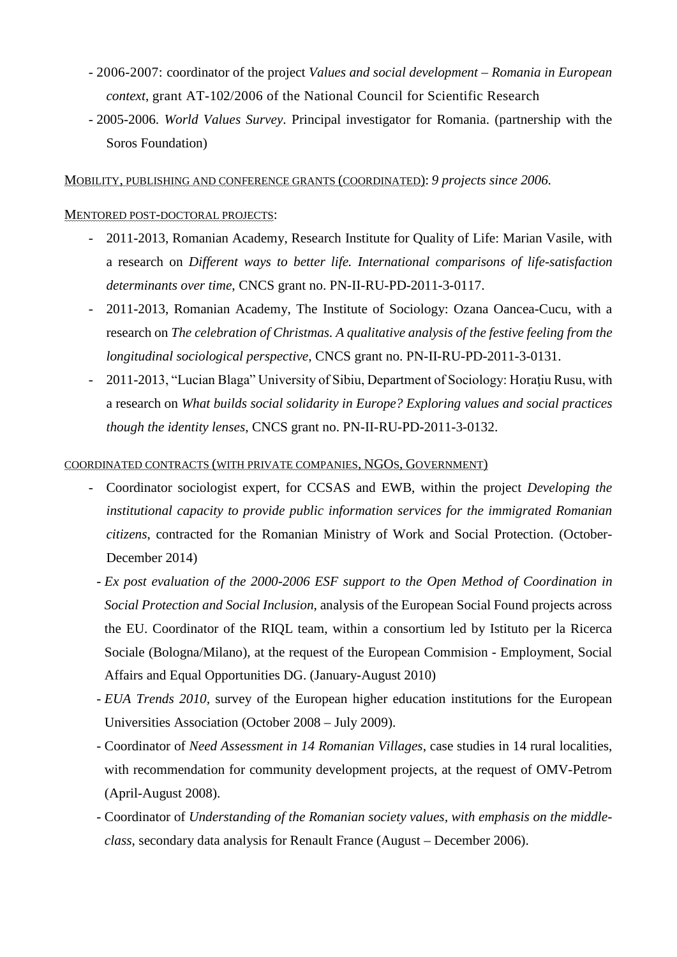- 2006-2007: coordinator of the project *Values and social development – Romania in European context*, grant AT-102/2006 of the National Council for Scientific Research
- 2005-2006. *World Values Survey*. Principal investigator for Romania. (partnership with the Soros Foundation)

MOBILITY, PUBLISHING AND CONFERENCE GRANTS (COORDINATED): *9 projects since 2006.*

### MENTORED POST-DOCTORAL PROJECTS:

- 2011-2013, Romanian Academy, Research Institute for Quality of Life: Marian Vasile, with a research on *Different ways to better life. International comparisons of life-satisfaction determinants over time*, CNCS grant no. PN-II-RU-PD-2011-3-0117.
- 2011-2013, Romanian Academy, The Institute of Sociology: Ozana Oancea-Cucu, with a research on *The celebration of Christmas. A qualitative analysis of the festive feeling from the longitudinal sociological perspective*, CNCS grant no. PN-II-RU-PD-2011-3-0131.
- 2011-2013, "Lucian Blaga" University of Sibiu, Department of Sociology: Horatiu Rusu, with a research on *What builds social solidarity in Europe? Exploring values and social practices though the identity lenses*, CNCS grant no. PN-II-RU-PD-2011-3-0132.

#### COORDINATED CONTRACTS (WITH PRIVATE COMPANIES, NGOS, GOVERNMENT)

- Coordinator sociologist expert, for CCSAS and EWB, within the project *Developing the institutional capacity to provide public information services for the immigrated Romanian citizens*, contracted for the Romanian Ministry of Work and Social Protection. (October-December 2014)
- *Ex post evaluation of the 2000-2006 ESF support to the Open Method of Coordination in Social Protection and Social Inclusion*, analysis of the European Social Found projects across the EU. Coordinator of the RIQL team, within a consortium led by Istituto per la Ricerca Sociale (Bologna/Milano), at the request of the European Commision - Employment, Social Affairs and Equal Opportunities DG. (January-August 2010)
- *EUA Trends 2010,* survey of the European higher education institutions for the European Universities Association (October 2008 – July 2009).
- Coordinator of *Need Assessment in 14 Romanian Villages*, case studies in 14 rural localities, with recommendation for community development projects, at the request of OMV-Petrom (April-August 2008).
- Coordinator of *Understanding of the Romanian society values, with emphasis on the middleclass*, secondary data analysis for Renault France (August – December 2006).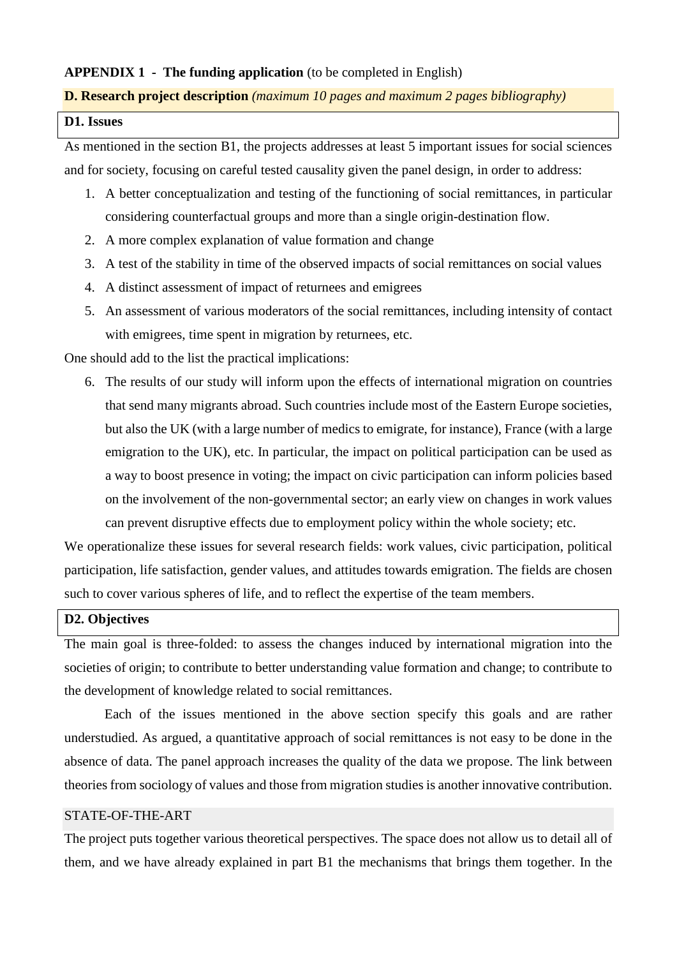#### **APPENDIX 1 - The funding application** (to be completed in English)

#### **D. Research project description** *(maximum 10 pages and maximum 2 pages bibliography)*

# **D1. Issues**

As mentioned in the section B1, the projects addresses at least 5 important issues for social sciences and for society, focusing on careful tested causality given the panel design, in order to address:

- 1. A better conceptualization and testing of the functioning of social remittances, in particular considering counterfactual groups and more than a single origin-destination flow.
- 2. A more complex explanation of value formation and change
- 3. A test of the stability in time of the observed impacts of social remittances on social values
- 4. A distinct assessment of impact of returnees and emigrees
- 5. An assessment of various moderators of the social remittances, including intensity of contact with emigrees, time spent in migration by returnees, etc.

One should add to the list the practical implications:

6. The results of our study will inform upon the effects of international migration on countries that send many migrants abroad. Such countries include most of the Eastern Europe societies, but also the UK (with a large number of medics to emigrate, for instance), France (with a large emigration to the UK), etc. In particular, the impact on political participation can be used as a way to boost presence in voting; the impact on civic participation can inform policies based on the involvement of the non-governmental sector; an early view on changes in work values can prevent disruptive effects due to employment policy within the whole society; etc.

We operationalize these issues for several research fields: work values, civic participation, political participation, life satisfaction, gender values, and attitudes towards emigration. The fields are chosen such to cover various spheres of life, and to reflect the expertise of the team members.

# **D2. Objectives**

The main goal is three-folded: to assess the changes induced by international migration into the societies of origin; to contribute to better understanding value formation and change; to contribute to the development of knowledge related to social remittances.

Each of the issues mentioned in the above section specify this goals and are rather understudied. As argued, a quantitative approach of social remittances is not easy to be done in the absence of data. The panel approach increases the quality of the data we propose. The link between theories from sociology of values and those from migration studies is another innovative contribution.

#### STATE-OF-THE-ART

The project puts together various theoretical perspectives. The space does not allow us to detail all of them, and we have already explained in part B1 the mechanisms that brings them together. In the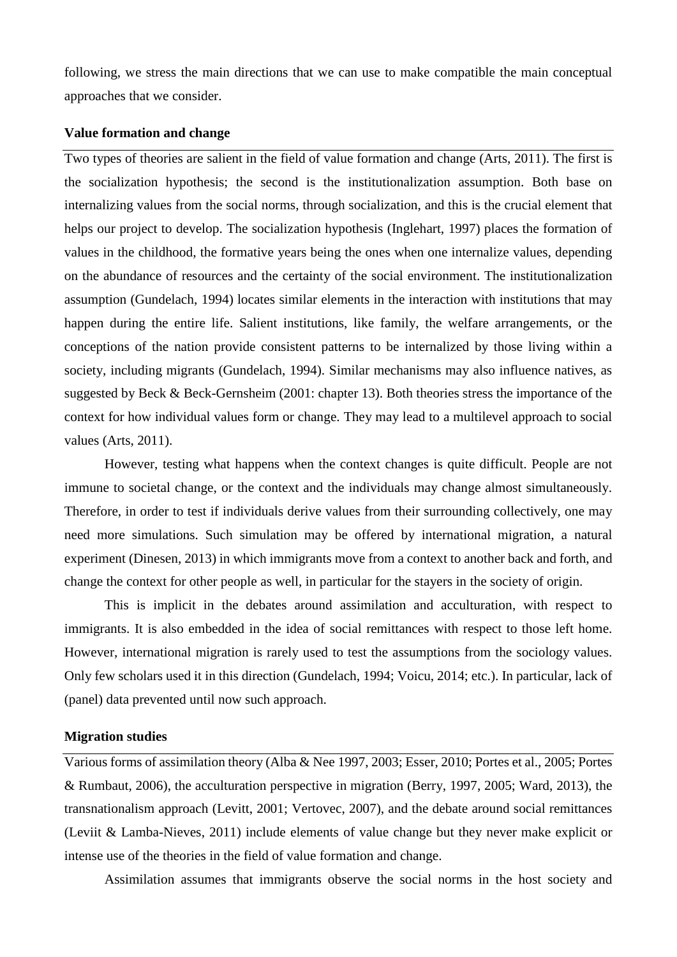following, we stress the main directions that we can use to make compatible the main conceptual approaches that we consider.

#### **Value formation and change**

Two types of theories are salient in the field of value formation and change (Arts, 2011). The first is the socialization hypothesis; the second is the institutionalization assumption. Both base on internalizing values from the social norms, through socialization, and this is the crucial element that helps our project to develop. The socialization hypothesis (Inglehart, 1997) places the formation of values in the childhood, the formative years being the ones when one internalize values, depending on the abundance of resources and the certainty of the social environment. The institutionalization assumption (Gundelach, 1994) locates similar elements in the interaction with institutions that may happen during the entire life. Salient institutions, like family, the welfare arrangements, or the conceptions of the nation provide consistent patterns to be internalized by those living within a society, including migrants (Gundelach, 1994). Similar mechanisms may also influence natives, as suggested by Beck & Beck-Gernsheim (2001: chapter 13). Both theories stress the importance of the context for how individual values form or change. They may lead to a multilevel approach to social values (Arts, 2011).

However, testing what happens when the context changes is quite difficult. People are not immune to societal change, or the context and the individuals may change almost simultaneously. Therefore, in order to test if individuals derive values from their surrounding collectively, one may need more simulations. Such simulation may be offered by international migration, a natural experiment (Dinesen, 2013) in which immigrants move from a context to another back and forth, and change the context for other people as well, in particular for the stayers in the society of origin.

This is implicit in the debates around assimilation and acculturation, with respect to immigrants. It is also embedded in the idea of social remittances with respect to those left home. However, international migration is rarely used to test the assumptions from the sociology values. Only few scholars used it in this direction (Gundelach, 1994; Voicu, 2014; etc.). In particular, lack of (panel) data prevented until now such approach.

#### **Migration studies**

Various forms of assimilation theory (Alba & Nee 1997, 2003; Esser, 2010; Portes et al., 2005; Portes & Rumbaut, 2006), the acculturation perspective in migration (Berry, 1997, 2005; Ward, 2013), the transnationalism approach (Levitt, 2001; Vertovec, 2007), and the debate around social remittances (Leviit & Lamba-Nieves, 2011) include elements of value change but they never make explicit or intense use of the theories in the field of value formation and change.

Assimilation assumes that immigrants observe the social norms in the host society and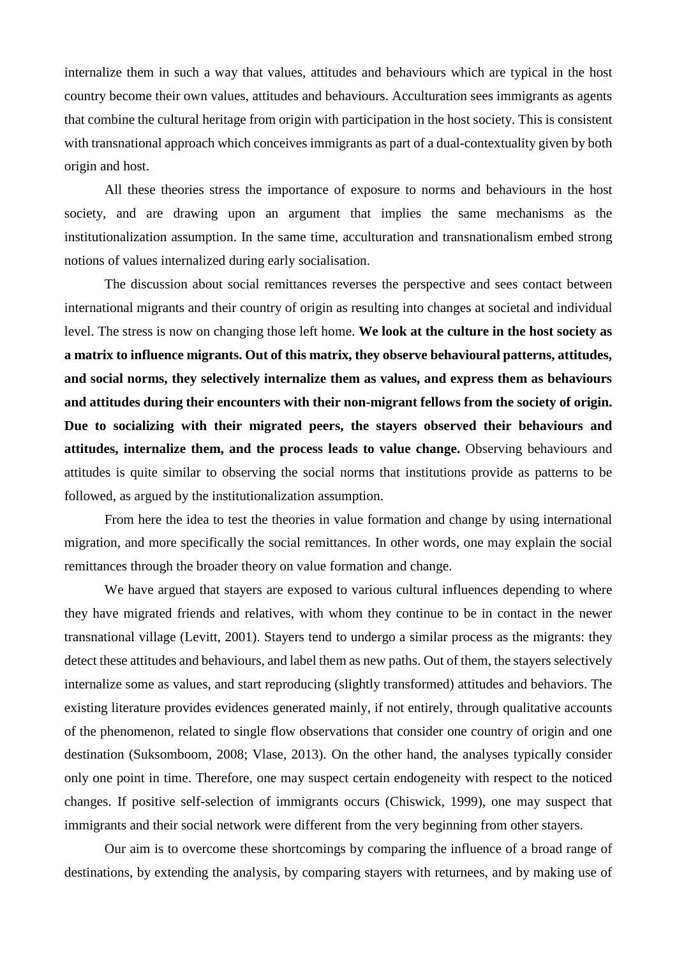internalize them in such a way that values, attitudes and behaviours which are typical in the host country become their own values, attitudes and behaviours. Acculturation sees immigrants as agents that combine the cultural heritage from origin with participation in the host society. This is consistent with transnational approach which conceives immigrants as part of a dual-contextuality given by both origin and host.

All these theories stress the importance of exposure to norms and behaviours in the host society, and are drawing upon an argument that implies the same mechanisms as the institutionalization assumption. In the same time, acculturation and transnationalism embed strong notions of values internalized during early socialisation.

The discussion about social remittances reverses the perspective and sees contact between international migrants and their country of origin as resulting into changes at societal and individual level. The stress is now on changing those left home. **We look at the culture in the host society as a matrix to influence migrants. Out of this matrix, they observe behavioural patterns, attitudes, and social norms, they selectively internalize them as values, and express them as behaviours and attitudes during their encounters with their non-migrant fellows from the society of origin. Due to socializing with their migrated peers, the stayers observed their behaviours and attitudes, internalize them, and the process leads to value change.** Observing behaviours and attitudes is quite similar to observing the social norms that institutions provide as patterns to be followed, as argued by the institutionalization assumption.

From here the idea to test the theories in value formation and change by using international migration, and more specifically the social remittances. In other words, one may explain the social remittances through the broader theory on value formation and change.

We have argued that stayers are exposed to various cultural influences depending to where they have migrated friends and relatives, with whom they continue to be in contact in the newer transnational village (Levitt, 2001). Stayers tend to undergo a similar process as the migrants: they detect these attitudes and behaviours, and label them as new paths. Out of them, the stayers selectively internalize some as values, and start reproducing (slightly transformed) attitudes and behaviors. The existing literature provides evidences generated mainly, if not entirely, through qualitative accounts of the phenomenon, related to single flow observations that consider one country of origin and one destination (Suksomboom, 2008; Vlase, 2013). On the other hand, the analyses typically consider only one point in time. Therefore, one may suspect certain endogeneity with respect to the noticed changes. If positive self-selection of immigrants occurs (Chiswick, 1999), one may suspect that immigrants and their social network were different from the very beginning from other stayers.

Our aim is to overcome these shortcomings by comparing the influence of a broad range of destinations, by extending the analysis, by comparing stayers with returnees, and by making use of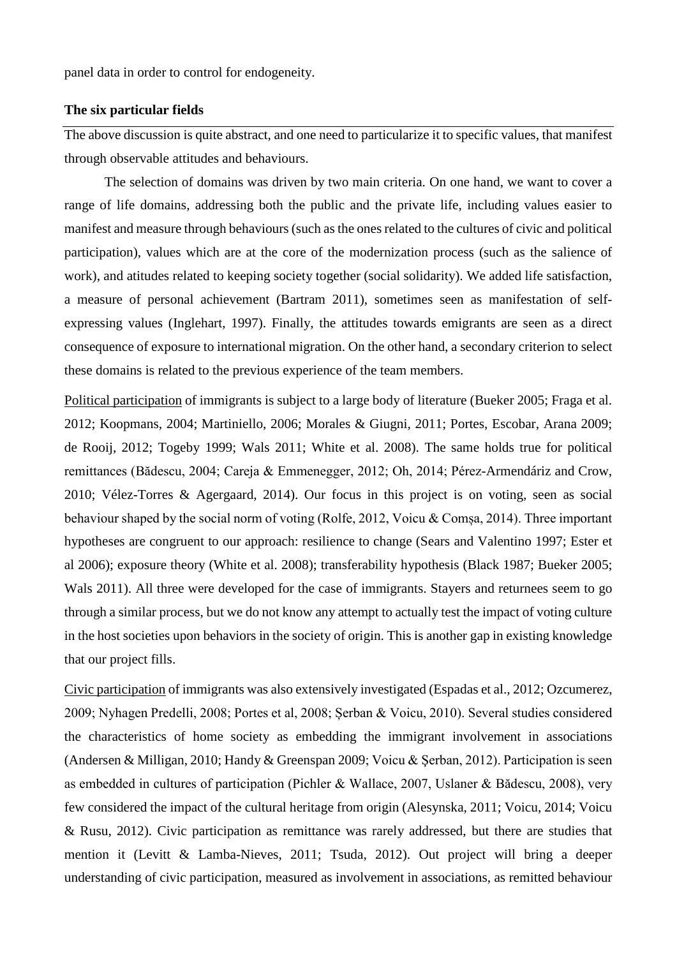panel data in order to control for endogeneity.

#### **The six particular fields**

The above discussion is quite abstract, and one need to particularize it to specific values, that manifest through observable attitudes and behaviours.

The selection of domains was driven by two main criteria. On one hand, we want to cover a range of life domains, addressing both the public and the private life, including values easier to manifest and measure through behaviours (such as the ones related to the cultures of civic and political participation), values which are at the core of the modernization process (such as the salience of work), and atitudes related to keeping society together (social solidarity). We added life satisfaction, a measure of personal achievement (Bartram 2011), sometimes seen as manifestation of selfexpressing values (Inglehart, 1997). Finally, the attitudes towards emigrants are seen as a direct consequence of exposure to international migration. On the other hand, a secondary criterion to select these domains is related to the previous experience of the team members.

Political participation of immigrants is subject to a large body of literature (Bueker 2005; Fraga et al. 2012; Koopmans, 2004; Martiniello, 2006; Morales & Giugni, 2011; Portes, Escobar, Arana 2009; de Rooij, 2012; Togeby 1999; Wals 2011; White et al. 2008). The same holds true for political remittances (Bădescu, 2004; Careja & Emmenegger, 2012; Oh, 2014; Pérez-Armendáriz and Crow, 2010; Vélez-Torres & Agergaard, 2014). Our focus in this project is on voting, seen as social behaviour shaped by the social norm of voting (Rolfe, 2012, Voicu & Comșa, 2014). Three important hypotheses are congruent to our approach: resilience to change (Sears and Valentino 1997; Ester et al 2006); exposure theory (White et al. 2008); transferability hypothesis (Black 1987; Bueker 2005; Wals 2011). All three were developed for the case of immigrants. Stayers and returnees seem to go through a similar process, but we do not know any attempt to actually test the impact of voting culture in the host societies upon behaviors in the society of origin. This is another gap in existing knowledge that our project fills.

Civic participation of immigrants was also extensively investigated (Espadas et al., 2012; Ozcumerez, 2009; Nyhagen Predelli, 2008; Portes et al, 2008; Șerban & Voicu, 2010). Several studies considered the characteristics of home society as embedding the immigrant involvement in associations (Andersen & Milligan, 2010; Handy & Greenspan 2009; Voicu & Şerban, 2012). Participation is seen as embedded in cultures of participation (Pichler & Wallace, 2007, Uslaner & Bădescu, 2008), very few considered the impact of the cultural heritage from origin (Alesynska, 2011; Voicu, 2014; Voicu & Rusu, 2012). Civic participation as remittance was rarely addressed, but there are studies that mention it (Levitt & Lamba-Nieves, 2011; Tsuda, 2012). Out project will bring a deeper understanding of civic participation, measured as involvement in associations, as remitted behaviour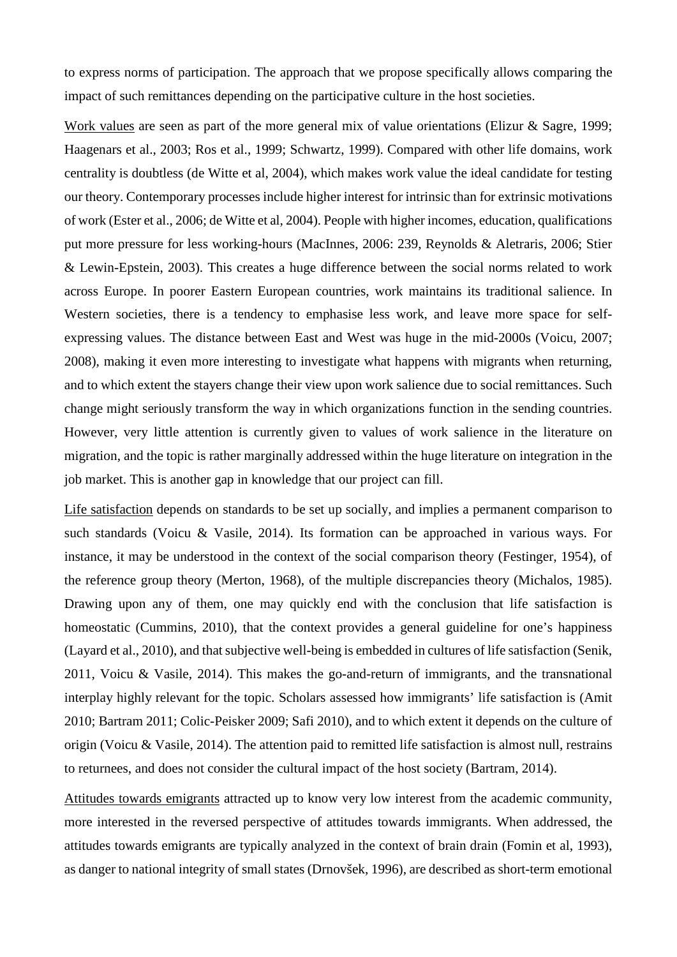to express norms of participation. The approach that we propose specifically allows comparing the impact of such remittances depending on the participative culture in the host societies.

Work values are seen as part of the more general mix of value orientations (Elizur & Sagre, 1999; Haagenars et al., 2003; Ros et al., 1999; Schwartz, 1999). Compared with other life domains, work centrality is doubtless (de Witte et al, 2004), which makes work value the ideal candidate for testing our theory. Contemporary processes include higher interest for intrinsic than for extrinsic motivations of work (Ester et al., 2006; de Witte et al, 2004). People with higher incomes, education, qualifications put more pressure for less working-hours (MacInnes, 2006: 239, Reynolds & Aletraris, 2006; Stier & Lewin-Epstein, 2003). This creates a huge difference between the social norms related to work across Europe. In poorer Eastern European countries, work maintains its traditional salience. In Western societies, there is a tendency to emphasise less work, and leave more space for selfexpressing values. The distance between East and West was huge in the mid-2000s (Voicu, 2007; 2008), making it even more interesting to investigate what happens with migrants when returning, and to which extent the stayers change their view upon work salience due to social remittances. Such change might seriously transform the way in which organizations function in the sending countries. However, very little attention is currently given to values of work salience in the literature on migration, and the topic is rather marginally addressed within the huge literature on integration in the job market. This is another gap in knowledge that our project can fill.

Life satisfaction depends on standards to be set up socially, and implies a permanent comparison to such standards (Voicu & Vasile, 2014). Its formation can be approached in various ways. For instance, it may be understood in the context of the social comparison theory (Festinger, 1954), of the reference group theory (Merton, 1968), of the multiple discrepancies theory (Michalos, 1985). Drawing upon any of them, one may quickly end with the conclusion that life satisfaction is homeostatic (Cummins, 2010), that the context provides a general guideline for one's happiness (Layard et al., 2010), and that subjective well-being is embedded in cultures of life satisfaction (Senik, 2011, Voicu & Vasile, 2014). This makes the go-and-return of immigrants, and the transnational interplay highly relevant for the topic. Scholars assessed how immigrants' life satisfaction is (Amit 2010; Bartram 2011; Colic-Peisker 2009; Safi 2010), and to which extent it depends on the culture of origin (Voicu & Vasile, 2014). The attention paid to remitted life satisfaction is almost null, restrains to returnees, and does not consider the cultural impact of the host society (Bartram, 2014).

Attitudes towards emigrants attracted up to know very low interest from the academic community, more interested in the reversed perspective of attitudes towards immigrants. When addressed, the attitudes towards emigrants are typically analyzed in the context of brain drain (Fomin et al, 1993), as danger to national integrity of small states (Drnovšek, 1996), are described as short-term emotional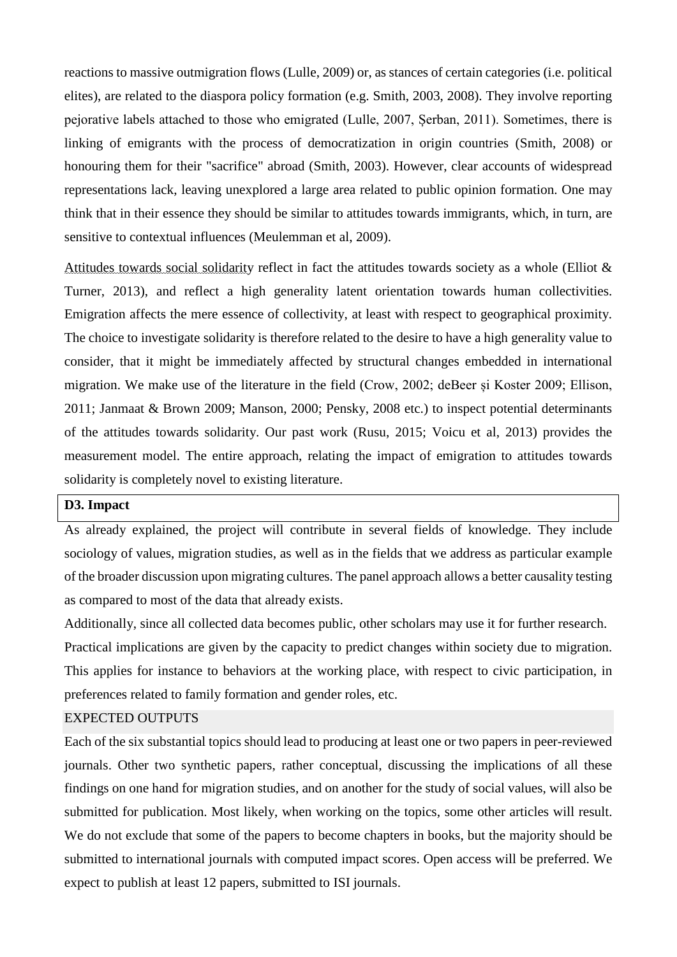reactions to massive outmigration flows (Lulle, 2009) or, as stances of certain categories (i.e. political elites), are related to the diaspora policy formation (e.g. Smith, 2003, 2008). They involve reporting pejorative labels attached to those who emigrated (Lulle, 2007, Șerban, 2011). Sometimes, there is linking of emigrants with the process of democratization in origin countries (Smith, 2008) or honouring them for their "sacrifice" abroad (Smith, 2003). However, clear accounts of widespread representations lack, leaving unexplored a large area related to public opinion formation. One may think that in their essence they should be similar to attitudes towards immigrants, which, in turn, are sensitive to contextual influences (Meulemman et al, 2009).

Attitudes towards social solidarity reflect in fact the attitudes towards society as a whole (Elliot & Turner, 2013), and reflect a high generality latent orientation towards human collectivities. Emigration affects the mere essence of collectivity, at least with respect to geographical proximity. The choice to investigate solidarity is therefore related to the desire to have a high generality value to consider, that it might be immediately affected by structural changes embedded in international migration. We make use of the literature in the field (Crow, 2002; deBeer și Koster 2009; Ellison, 2011; Janmaat & Brown 2009; Manson, 2000; Pensky, 2008 etc.) to inspect potential determinants of the attitudes towards solidarity. Our past work (Rusu, 2015; Voicu et al, 2013) provides the measurement model. The entire approach, relating the impact of emigration to attitudes towards solidarity is completely novel to existing literature.

## **D3. Impact**

As already explained, the project will contribute in several fields of knowledge. They include sociology of values, migration studies, as well as in the fields that we address as particular example of the broader discussion upon migrating cultures. The panel approach allows a better causality testing as compared to most of the data that already exists.

Additionally, since all collected data becomes public, other scholars may use it for further research. Practical implications are given by the capacity to predict changes within society due to migration. This applies for instance to behaviors at the working place, with respect to civic participation, in preferences related to family formation and gender roles, etc.

#### EXPECTED OUTPUTS

Each of the six substantial topics should lead to producing at least one or two papers in peer-reviewed journals. Other two synthetic papers, rather conceptual, discussing the implications of all these findings on one hand for migration studies, and on another for the study of social values, will also be submitted for publication. Most likely, when working on the topics, some other articles will result. We do not exclude that some of the papers to become chapters in books, but the majority should be submitted to international journals with computed impact scores. Open access will be preferred. We expect to publish at least 12 papers, submitted to ISI journals.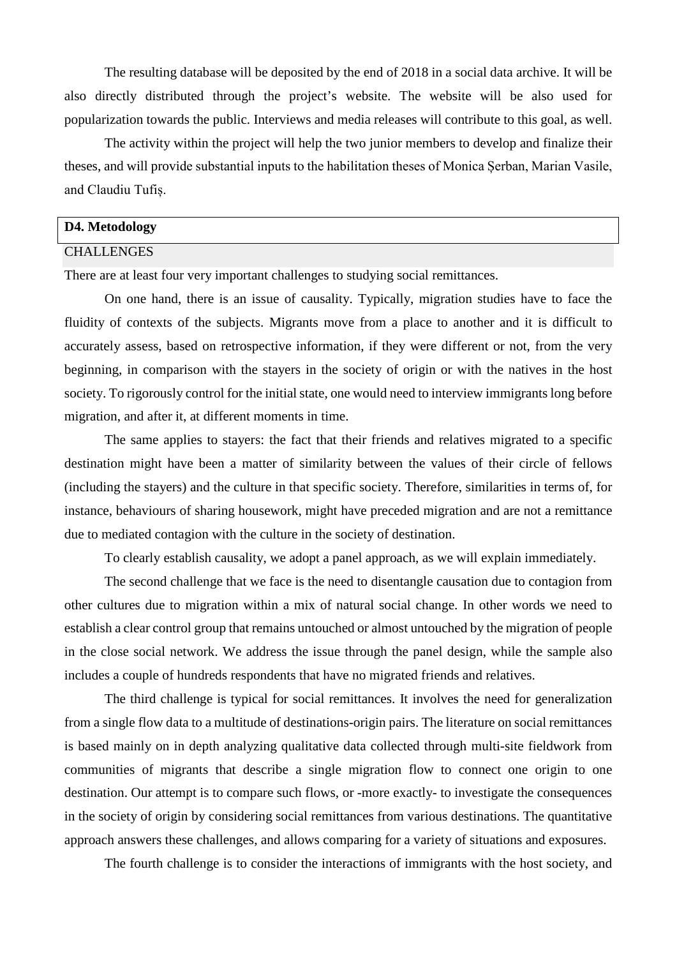The resulting database will be deposited by the end of 2018 in a social data archive. It will be also directly distributed through the project's website. The website will be also used for popularization towards the public. Interviews and media releases will contribute to this goal, as well.

The activity within the project will help the two junior members to develop and finalize their theses, and will provide substantial inputs to the habilitation theses of Monica Șerban, Marian Vasile, and Claudiu Tufiș.

#### **D4. Metodology**

#### CHALLENGES

There are at least four very important challenges to studying social remittances.

On one hand, there is an issue of causality. Typically, migration studies have to face the fluidity of contexts of the subjects. Migrants move from a place to another and it is difficult to accurately assess, based on retrospective information, if they were different or not, from the very beginning, in comparison with the stayers in the society of origin or with the natives in the host society. To rigorously control for the initial state, one would need to interview immigrants long before migration, and after it, at different moments in time.

The same applies to stayers: the fact that their friends and relatives migrated to a specific destination might have been a matter of similarity between the values of their circle of fellows (including the stayers) and the culture in that specific society. Therefore, similarities in terms of, for instance, behaviours of sharing housework, might have preceded migration and are not a remittance due to mediated contagion with the culture in the society of destination.

To clearly establish causality, we adopt a panel approach, as we will explain immediately.

The second challenge that we face is the need to disentangle causation due to contagion from other cultures due to migration within a mix of natural social change. In other words we need to establish a clear control group that remains untouched or almost untouched by the migration of people in the close social network. We address the issue through the panel design, while the sample also includes a couple of hundreds respondents that have no migrated friends and relatives.

The third challenge is typical for social remittances. It involves the need for generalization from a single flow data to a multitude of destinations-origin pairs. The literature on social remittances is based mainly on in depth analyzing qualitative data collected through multi-site fieldwork from communities of migrants that describe a single migration flow to connect one origin to one destination. Our attempt is to compare such flows, or -more exactly- to investigate the consequences in the society of origin by considering social remittances from various destinations. The quantitative approach answers these challenges, and allows comparing for a variety of situations and exposures.

The fourth challenge is to consider the interactions of immigrants with the host society, and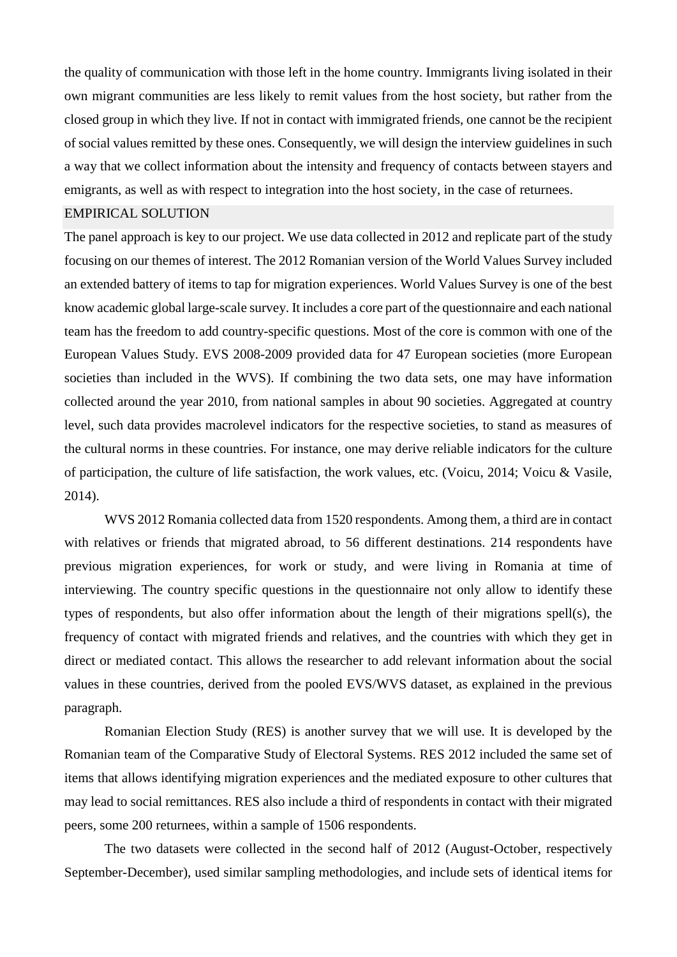the quality of communication with those left in the home country. Immigrants living isolated in their own migrant communities are less likely to remit values from the host society, but rather from the closed group in which they live. If not in contact with immigrated friends, one cannot be the recipient of social values remitted by these ones. Consequently, we will design the interview guidelines in such a way that we collect information about the intensity and frequency of contacts between stayers and emigrants, as well as with respect to integration into the host society, in the case of returnees.

#### EMPIRICAL SOLUTION

The panel approach is key to our project. We use data collected in 2012 and replicate part of the study focusing on our themes of interest. The 2012 Romanian version of the World Values Survey included an extended battery of items to tap for migration experiences. World Values Survey is one of the best know academic global large-scale survey. It includes a core part of the questionnaire and each national team has the freedom to add country-specific questions. Most of the core is common with one of the European Values Study. EVS 2008-2009 provided data for 47 European societies (more European societies than included in the WVS). If combining the two data sets, one may have information collected around the year 2010, from national samples in about 90 societies. Aggregated at country level, such data provides macrolevel indicators for the respective societies, to stand as measures of the cultural norms in these countries. For instance, one may derive reliable indicators for the culture of participation, the culture of life satisfaction, the work values, etc. (Voicu, 2014; Voicu & Vasile, 2014).

WVS 2012 Romania collected data from 1520 respondents. Among them, a third are in contact with relatives or friends that migrated abroad, to 56 different destinations. 214 respondents have previous migration experiences, for work or study, and were living in Romania at time of interviewing. The country specific questions in the questionnaire not only allow to identify these types of respondents, but also offer information about the length of their migrations spell(s), the frequency of contact with migrated friends and relatives, and the countries with which they get in direct or mediated contact. This allows the researcher to add relevant information about the social values in these countries, derived from the pooled EVS/WVS dataset, as explained in the previous paragraph.

Romanian Election Study (RES) is another survey that we will use. It is developed by the Romanian team of the Comparative Study of Electoral Systems. RES 2012 included the same set of items that allows identifying migration experiences and the mediated exposure to other cultures that may lead to social remittances. RES also include a third of respondents in contact with their migrated peers, some 200 returnees, within a sample of 1506 respondents.

The two datasets were collected in the second half of 2012 (August-October, respectively September-December), used similar sampling methodologies, and include sets of identical items for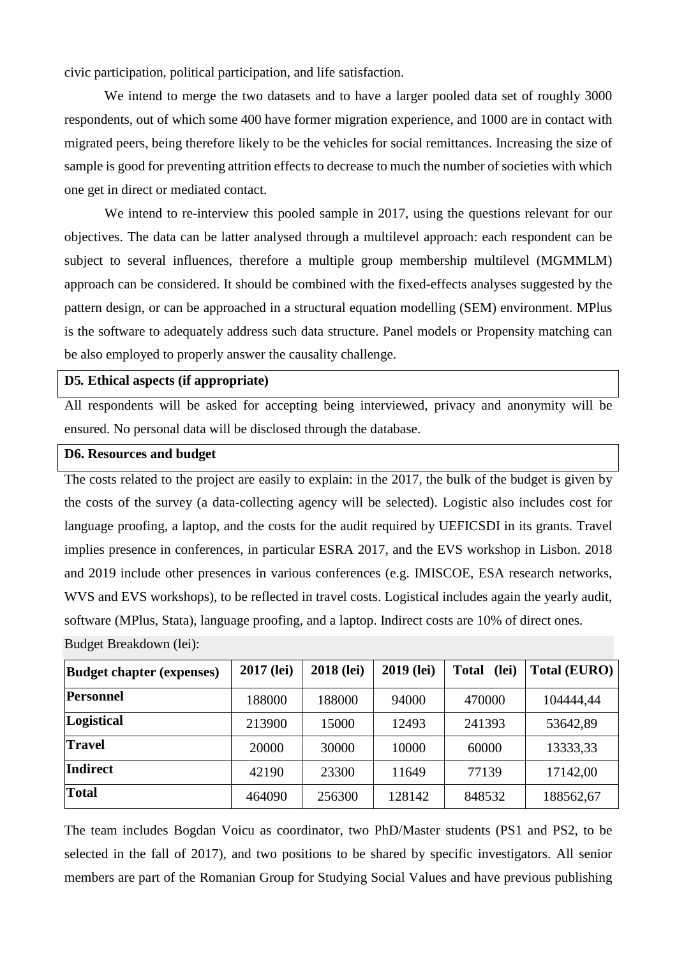civic participation, political participation, and life satisfaction.

We intend to merge the two datasets and to have a larger pooled data set of roughly 3000 respondents, out of which some 400 have former migration experience, and 1000 are in contact with migrated peers, being therefore likely to be the vehicles for social remittances. Increasing the size of sample is good for preventing attrition effects to decrease to much the number of societies with which one get in direct or mediated contact.

We intend to re-interview this pooled sample in 2017, using the questions relevant for our objectives. The data can be latter analysed through a multilevel approach: each respondent can be subject to several influences, therefore a multiple group membership multilevel (MGMMLM) approach can be considered. It should be combined with the fixed-effects analyses suggested by the pattern design, or can be approached in a structural equation modelling (SEM) environment. MPlus is the software to adequately address such data structure. Panel models or Propensity matching can be also employed to properly answer the causality challenge.

## **D5***.* **Ethical aspects (if appropriate)**

All respondents will be asked for accepting being interviewed, privacy and anonymity will be ensured. No personal data will be disclosed through the database.

#### **D6. Resources and budget**

The costs related to the project are easily to explain: in the 2017, the bulk of the budget is given by the costs of the survey (a data-collecting agency will be selected). Logistic also includes cost for language proofing, a laptop, and the costs for the audit required by UEFICSDI in its grants. Travel implies presence in conferences, in particular ESRA 2017, and the EVS workshop in Lisbon. 2018 and 2019 include other presences in various conferences (e.g. IMISCOE, ESA research networks, WVS and EVS workshops), to be reflected in travel costs. Logistical includes again the yearly audit, software (MPlus, Stata), language proofing, and a laptop. Indirect costs are 10% of direct ones.

Budget Breakdown (lei):

| <b>Budget chapter (expenses)</b> | 2017 (lei) | 2018 (lei) | 2019 (lei) | <b>Total</b><br>(lei) | Total (EURO) |  |
|----------------------------------|------------|------------|------------|-----------------------|--------------|--|
| Personnel                        | 188000     | 188000     | 94000      | 470000                | 104444,44    |  |
| Logistical                       | 213900     | 15000      | 12493      | 241393                | 53642,89     |  |
| <b>Travel</b>                    | 20000      | 30000      | 10000      | 60000                 | 13333,33     |  |
| <b>Indirect</b>                  | 42190      | 23300      | 11649      | 77139                 | 17142,00     |  |
| <b>Total</b>                     | 464090     | 256300     | 128142     | 848532                | 188562,67    |  |

The team includes Bogdan Voicu as coordinator, two PhD/Master students (PS1 and PS2, to be selected in the fall of 2017), and two positions to be shared by specific investigators. All senior members are part of the Romanian Group for Studying Social Values and have previous publishing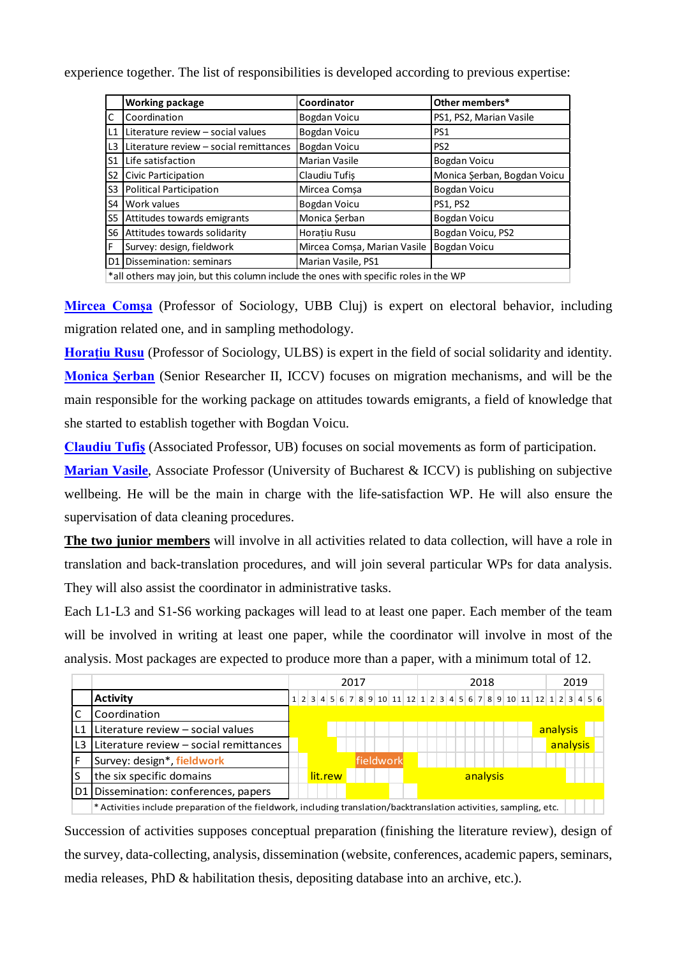experience together. The list of responsibilities is developed according to previous expertise:

|     | <b>Working package</b>                                                                   | Coordinator                 | Other members*              |  |  |  |  |  |
|-----|------------------------------------------------------------------------------------------|-----------------------------|-----------------------------|--|--|--|--|--|
| lc. | Coordination                                                                             | Bogdan Voicu                | PS1, PS2, Marian Vasile     |  |  |  |  |  |
| IL1 | Literature review - social values                                                        | Bogdan Voicu                | PS1                         |  |  |  |  |  |
| IL3 | Literature review - social remittances                                                   | <b>Bogdan Voicu</b>         | PS <sub>2</sub>             |  |  |  |  |  |
| lS1 | Life satisfaction                                                                        | <b>Marian Vasile</b>        | Bogdan Voicu                |  |  |  |  |  |
| S2  | Civic Participation                                                                      | Claudiu Tufis               | Monica Şerban, Bogdan Voicu |  |  |  |  |  |
| S3  | Political Participation                                                                  | Mircea Comsa                | Bogdan Voicu                |  |  |  |  |  |
| ls4 | Work values                                                                              | Bogdan Voicu                | <b>PS1, PS2</b>             |  |  |  |  |  |
| ls5 | Attitudes towards emigrants                                                              | Monica Şerban               | Bogdan Voicu                |  |  |  |  |  |
| lS6 | Attitudes towards solidarity                                                             | <b>Horatiu Rusu</b>         | Bogdan Voicu, PS2           |  |  |  |  |  |
| lF. | Survey: design, fieldwork                                                                | Mircea Comșa, Marian Vasile | Bogdan Voicu                |  |  |  |  |  |
|     | D1 Dissemination: seminars                                                               | Marian Vasile, PS1          |                             |  |  |  |  |  |
|     | $*$ all others may join, but this solumn inslude the ones with specific roles in the M/D |                             |                             |  |  |  |  |  |

 $*$ all others may join, but this column include the ones with specific roles in the WF

**[Mircea Comșa](https://sites.google.com/site/mirceacomsa)** (Professor of Sociology, UBB Cluj) is expert on electoral behavior, including migration related one, and in sampling methodology.

**[Horațiu Rusu](https://sites.google.com/a/ulbsibiu.ro/horatiu-rusu/)** (Professor of Sociology, ULBS) is expert in the field of social solidarity and identity. **[Monica Șerban](http://iccv.ro/node/8)** (Senior Researcher II, ICCV) focuses on migration mechanisms, and will be the main responsible for the working package on attitudes towards emigrants, a field of knowledge that she started to establish together with Bogdan Voicu.

**[Claudiu Tufiș](http://www.tufis.ro/Claudiu.html)** (Associated Professor, UB) focuses on social movements as form of participation.

**[Marian Vasile](http://www.marian-vasile.ro/)**, Associate Professor (University of Bucharest & ICCV) is publishing on subjective wellbeing. He will be the main in charge with the life-satisfaction WP. He will also ensure the supervisation of data cleaning procedures.

**The two junior members** will involve in all activities related to data collection, will have a role in translation and back-translation procedures, and will join several particular WPs for data analysis. They will also assist the coordinator in administrative tasks.

Each L1-L3 and S1-S6 working packages will lead to at least one paper. Each member of the team will be involved in writing at least one paper, while the coordinator will involve in most of the analysis. Most packages are expected to produce more than a paper, with a minimum total of 12.

|     |                                                                                                                       | 2017                                                              |           |  |  |  | 2019     |  |          |          |
|-----|-----------------------------------------------------------------------------------------------------------------------|-------------------------------------------------------------------|-----------|--|--|--|----------|--|----------|----------|
|     | <b>Activity</b>                                                                                                       | 1 2 3 4 5 6 7 8 9 10 11 12 1 2 3 4 5 6 7 8 9 10 11 12 1 2 3 4 5 6 |           |  |  |  |          |  |          |          |
|     | Coordination                                                                                                          |                                                                   |           |  |  |  |          |  |          |          |
| L1  | Literature review $-$ social values                                                                                   |                                                                   |           |  |  |  |          |  | analysis |          |
| 'L3 | Literature review $-$ social remittances                                                                              |                                                                   |           |  |  |  |          |  |          | analysis |
|     | Survey: design*, fieldwork                                                                                            |                                                                   | fieldwork |  |  |  |          |  |          |          |
| S   | the six specific domains                                                                                              | lit.rew                                                           |           |  |  |  | analysis |  |          |          |
|     | D1   Dissemination: conferences, papers                                                                               |                                                                   |           |  |  |  |          |  |          |          |
|     | $*$ Activities include preparation of the fieldwork, including translation/backtranslation activities, sampling, etc. |                                                                   |           |  |  |  |          |  |          |          |

Succession of activities supposes conceptual preparation (finishing the literature review), design of the survey, data-collecting, analysis, dissemination (website, conferences, academic papers, seminars, media releases, PhD & habilitation thesis, depositing database into an archive, etc.).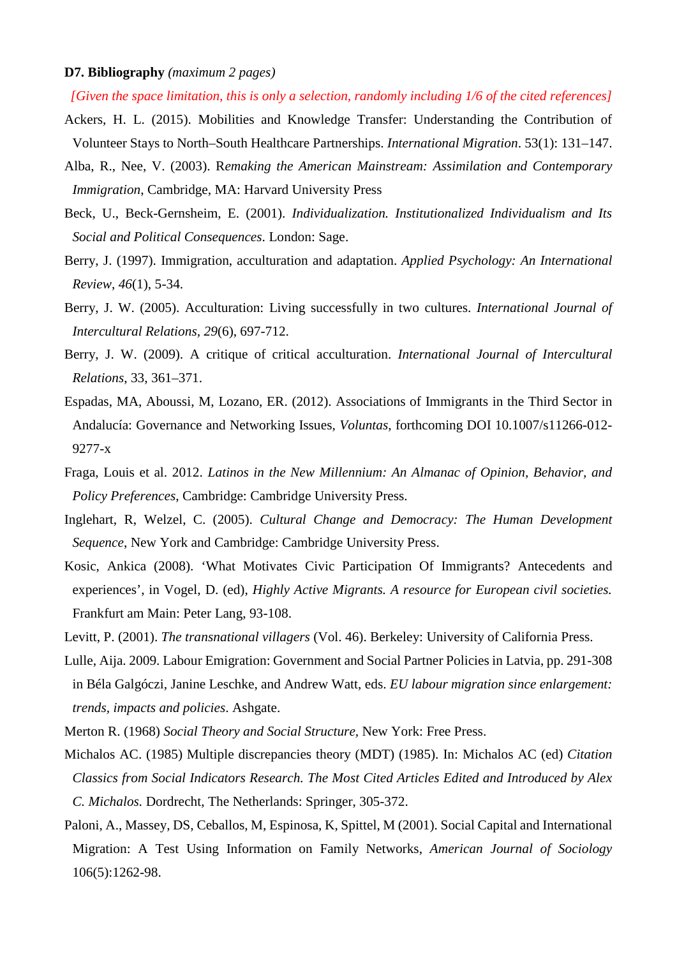#### **D7. Bibliography** *(maximum 2 pages)*

*[Given the space limitation, this is only a selection, randomly including 1/6 of the cited references]* Ackers, H. L. (2015). Mobilities and Knowledge Transfer: Understanding the Contribution of

Volunteer Stays to North–South Healthcare Partnerships. *International Migration*. 53(1): 131–147.

- Alba, R., Nee, V. (2003). R*emaking the American Mainstream: Assimilation and Contemporary Immigration*, Cambridge, MA: Harvard University Press
- Beck, U., Beck-Gernsheim, E. (2001). *Individualization. Institutionalized Individualism and Its Social and Political Consequences*. London: Sage.
- Berry, J. (1997). Immigration, acculturation and adaptation. *Applied Psychology: An International Review*, *46*(1), 5-34.
- Berry, J. W. (2005). Acculturation: Living successfully in two cultures. *International Journal of Intercultural Relations, 29*(6), 697-712.
- Berry, J. W. (2009). A critique of critical acculturation. *International Journal of Intercultural Relations*, 33, 361–371.
- Espadas, MA, Aboussi, M, Lozano, ER. (2012). Associations of Immigrants in the Third Sector in Andalucía: Governance and Networking Issues, *Voluntas*, forthcoming DOI 10.1007/s11266-012- 9277-x
- Fraga, Louis et al. 2012. *Latinos in the New Millennium: An Almanac of Opinion, Behavior, and Policy Preferences*, Cambridge: Cambridge University Press.
- Inglehart, R, Welzel, C. (2005). *Cultural Change and Democracy: The Human Development Sequence*, New York and Cambridge: Cambridge University Press.
- Kosic, Ankica (2008). 'What Motivates Civic Participation Of Immigrants? Antecedents and experiences', in Vogel, D. (ed), *Highly Active Migrants. A resource for European civil societies.* Frankfurt am Main: Peter Lang, 93-108.
- Levitt, P. (2001). *The transnational villagers* (Vol. 46). Berkeley: University of California Press.
- Lulle, Aija. 2009. Labour Emigration: Government and Social Partner Policies in Latvia, pp. 291-308 in Béla Galgóczi, Janine Leschke, and Andrew Watt, eds. *EU labour migration since enlargement: trends, impacts and policies*. Ashgate.
- Merton R. (1968) *Social Theory and Social Structure,* New York: Free Press.
- Michalos AC. (1985) Multiple discrepancies theory (MDT) (1985). In: Michalos AC (ed) *Citation Classics from Social Indicators Research. The Most Cited Articles Edited and Introduced by Alex C. Michalos.* Dordrecht, The Netherlands: Springer, 305-372.
- Paloni, A., Massey, DS, Ceballos, M, Espinosa, K, Spittel, M (2001). Social Capital and International Migration: A Test Using Information on Family Networks, *American Journal of Sociology* 106(5):1262-98.